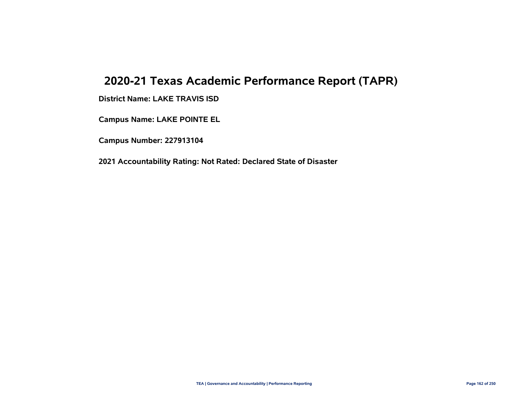# **2020-21 Texas Academic Performance Report (TAPR)**

**District Name: LAKE TRAVIS ISD**

**Campus Name: LAKE POINTE EL**

**Campus Number: 227913104**

**2021 Accountability Rating: Not Rated: Declared State of Disaster**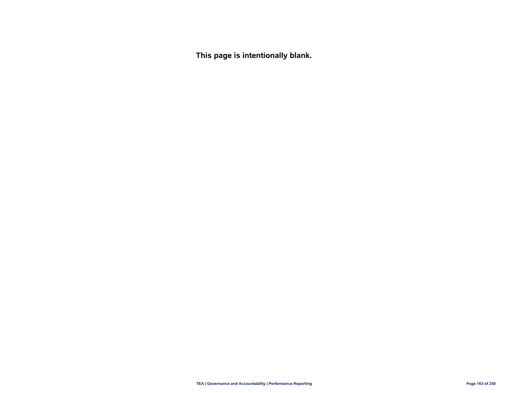**This page is intentionally blank.**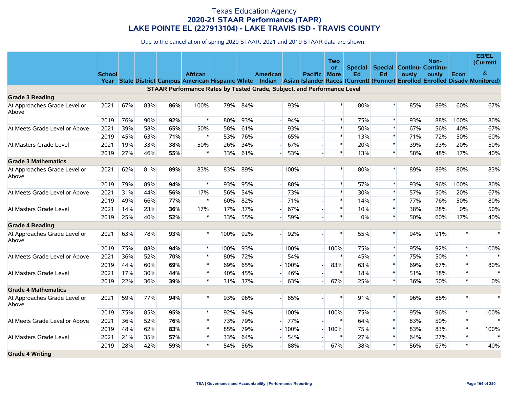|                                       |               |     |     |     |                                                                         |      |     |                          |         |                          | Two          |                |        |                                  | Non-  |        | EB/EL<br>(Current                                                                                                                     |
|---------------------------------------|---------------|-----|-----|-----|-------------------------------------------------------------------------|------|-----|--------------------------|---------|--------------------------|--------------|----------------|--------|----------------------------------|-------|--------|---------------------------------------------------------------------------------------------------------------------------------------|
|                                       |               |     |     |     |                                                                         |      |     |                          |         |                          | or           | <b>Special</b> |        | <b>Special Continu- Continu-</b> |       |        | $\&$                                                                                                                                  |
|                                       | <b>School</b> |     |     |     | <b>African</b>                                                          |      |     | <b>American</b>          |         | Pacific                  | <b>More</b>  | Ed             | Ed     | ously                            | ously | Econ   | Year State District Campus American Hispanic White Indian Asian Islander Races (Current) (Former) Enrolled Enrolled Disady Monitored) |
|                                       |               |     |     |     | STAAR Performance Rates by Tested Grade, Subject, and Performance Level |      |     |                          |         |                          |              |                |        |                                  |       |        |                                                                                                                                       |
| <b>Grade 3 Reading</b>                |               |     |     |     |                                                                         |      |     |                          |         |                          |              |                |        |                                  |       |        |                                                                                                                                       |
| At Approaches Grade Level or<br>Above | 2021          | 67% | 83% | 86% | 100%                                                                    | 79%  | 84% | $\overline{a}$           | 93%     |                          | $\ast$       | 80%            | $\ast$ | 85%                              | 89%   | 60%    | 67%                                                                                                                                   |
|                                       | 2019          | 76% | 90% | 92% | $\ast$                                                                  | 80%  | 93% |                          | 94%     |                          | $\ast$       | 75%            | $\ast$ | 93%                              | 88%   | 100%   | 80%                                                                                                                                   |
| At Meets Grade Level or Above         | 2021          | 39% | 58% | 65% | 50%                                                                     | 58%  | 61% |                          | 93%     |                          | $\pmb{\ast}$ | 50%            | $\ast$ | 67%                              | 56%   | 40%    | 67%                                                                                                                                   |
|                                       | 2019          | 45% | 63% | 71% | $\ast$                                                                  | 53%  | 76% |                          | 65%     | $\blacksquare$           | $\pmb{\ast}$ | 13%            | $\ast$ | 71%                              | 72%   | 50%    | 60%                                                                                                                                   |
| At Masters Grade Level                | 2021          | 19% | 33% | 38% | 50%                                                                     | 26%  | 34% |                          | 67%     | $\overline{a}$           | $\pmb{\ast}$ | 20%            | $\ast$ | 39%                              | 33%   | 20%    | 50%                                                                                                                                   |
|                                       | 2019          | 27% | 46% | 55% | $\ast$                                                                  | 33%  | 61% |                          | 53%     |                          | $\ast$       | 13%            | $\ast$ | 58%                              | 48%   | 17%    | 40%                                                                                                                                   |
| <b>Grade 3 Mathematics</b>            |               |     |     |     |                                                                         |      |     |                          |         |                          |              |                |        |                                  |       |        |                                                                                                                                       |
| At Approaches Grade Level or<br>Above | 2021          | 62% | 81% | 89% | 83%                                                                     | 83%  | 89% |                          | $-100%$ |                          | $\ast$       | 80%            | $\ast$ | 89%                              | 89%   | 80%    | 83%                                                                                                                                   |
|                                       | 2019          | 79% | 89% | 94% | $\ast$                                                                  | 93%  | 95% |                          | 88%     |                          | $\ast$       | 57%            | $\ast$ | 93%                              | 96%   | 100%   | 80%                                                                                                                                   |
| At Meets Grade Level or Above         | 2021          | 31% | 44% | 56% | 17%                                                                     | 56%  | 54% |                          | 73%     |                          | $\ast$       | 30%            | $\ast$ | 57%                              | 50%   | 20%    | 67%                                                                                                                                   |
|                                       | 2019          | 49% | 66% | 77% | $\ast$                                                                  | 60%  | 82% |                          | 71%     |                          | $\ast$       | 14%            | $\ast$ | 77%                              | 76%   | 50%    | 80%                                                                                                                                   |
| At Masters Grade Level                | 2021          | 14% | 23% | 36% | 17%                                                                     | 17%  | 37% |                          | 67%     |                          | $\ast$       | 10%            | $\ast$ | 38%                              | 28%   | 0%     | 50%                                                                                                                                   |
|                                       | 2019          | 25% | 40% | 52% | $\ast$                                                                  | 33%  | 55% |                          | 59%     |                          | $\ast$       | 0%             | $\ast$ | 50%                              | 60%   | 17%    | 40%                                                                                                                                   |
| <b>Grade 4 Reading</b>                |               |     |     |     |                                                                         |      |     |                          |         |                          |              |                |        |                                  |       |        |                                                                                                                                       |
| At Approaches Grade Level or<br>Above | 2021          | 63% | 78% | 93% | $\ast$                                                                  | 100% | 92% | الد                      | 92%     |                          | $\ast$       | 55%            | $\ast$ | 94%                              | 91%   | *      | $\ast$                                                                                                                                |
|                                       | 2019          | 75% | 88% | 94% | $\ast$                                                                  | 100% | 93% |                          | $-100%$ |                          | 100%         | 75%            | $\ast$ | 95%                              | 92%   | $\ast$ | 100%                                                                                                                                  |
| At Meets Grade Level or Above         | 2021          | 36% | 52% | 70% | $\ast$                                                                  | 80%  | 72% |                          | 54%     |                          | $\ast$       | 45%            | $\ast$ | 75%                              | 50%   | $\ast$ | $\ast$                                                                                                                                |
|                                       | 2019          | 44% | 60% | 69% | $\ast$                                                                  | 69%  | 65% |                          | $-100%$ | $\overline{\phantom{a}}$ | 83%          | 63%            | $\ast$ | 69%                              | 67%   | $\ast$ | 80%                                                                                                                                   |
| At Masters Grade Level                | 2021          | 17% | 30% | 44% | $\pmb{\ast}$                                                            | 40%  | 45% |                          | 46%     | $\overline{\phantom{a}}$ | $\ast$       | 18%            | $\ast$ | 51%                              | 18%   | $\ast$ | ×                                                                                                                                     |
|                                       | 2019          | 22% | 36% | 39% | $\pmb{\ast}$                                                            | 31%  | 37% |                          | 63%     | $\overline{\phantom{0}}$ | 67%          | 25%            | $\ast$ | 36%                              | 50%   | $\ast$ | 0%                                                                                                                                    |
| <b>Grade 4 Mathematics</b>            |               |     |     |     |                                                                         |      |     |                          |         |                          |              |                |        |                                  |       |        |                                                                                                                                       |
| At Approaches Grade Level or<br>Above | 2021          | 59% | 77% | 94% | $\ast$                                                                  | 93%  | 96% | $\overline{\phantom{a}}$ | 85%     |                          | $\ast$       | 91%            | $\ast$ | 96%                              | 86%   |        |                                                                                                                                       |
|                                       | 2019          | 75% | 85% | 95% | $\pmb{\ast}$                                                            | 92%  | 94% |                          | $-100%$ | - 1                      | 100%         | 75%            | $\ast$ | 95%                              | 96%   | $\ast$ | 100%                                                                                                                                  |
| At Meets Grade Level or Above         | 2021          | 36% | 52% | 76% | $\pmb{\ast}$                                                            | 73%  | 79% |                          | 77%     |                          | $\ast$       | 64%            | $\ast$ | 83%                              | 50%   | $\ast$ | $\ast$                                                                                                                                |
|                                       | 2019          | 48% | 62% | 83% | $\ast$                                                                  | 85%  | 79% |                          | $-100%$ | $\overline{\phantom{a}}$ | 100%         | 75%            | $\ast$ | 83%                              | 83%   | $\ast$ | 100%                                                                                                                                  |
| At Masters Grade Level                | 2021          | 21% | 35% | 57% | $\ast$                                                                  | 33%  | 64% |                          | 54%     |                          | $\ast$       | 27%            | $\ast$ | 64%                              | 27%   | $\ast$ | $\ast$                                                                                                                                |
|                                       | 2019          | 28% | 42% | 59% | $\ast$                                                                  | 54%  | 56% |                          | 88%     |                          | 67%          | 38%            | $\ast$ | 56%                              | 67%   | $\ast$ | 40%                                                                                                                                   |
| <b>Grade 4 Writing</b>                |               |     |     |     |                                                                         |      |     |                          |         |                          |              |                |        |                                  |       |        |                                                                                                                                       |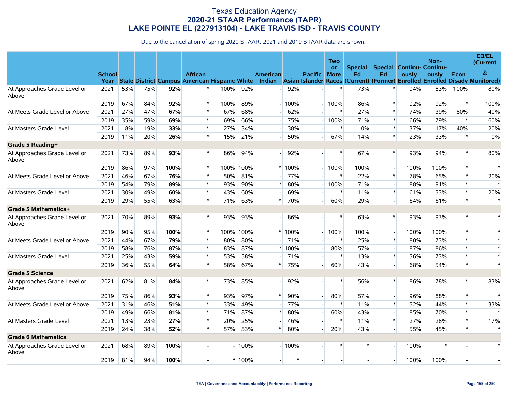|                                       |               |     |     |      |                                                    |      |           |                          |         |                          | Two                      |        |                          |                                   | Non-   |              | EB/EL<br>(Current                                                                  |
|---------------------------------------|---------------|-----|-----|------|----------------------------------------------------|------|-----------|--------------------------|---------|--------------------------|--------------------------|--------|--------------------------|-----------------------------------|--------|--------------|------------------------------------------------------------------------------------|
|                                       | <b>School</b> |     |     |      | <b>African</b>                                     |      |           | <b>American</b>          |         | <b>Pacific</b>           | <b>or</b><br><b>More</b> | Ed     | Ed                       | Special Special Continu- Continu- |        | Econ         | $\&$                                                                               |
|                                       |               |     |     |      | Year State District Campus American Hispanic White |      |           |                          |         |                          |                          |        |                          | ously                             | ously  |              | Indian Asian Islander Races (Current) (Former) Enrolled Enrolled Disady Monitored) |
| At Approaches Grade Level or<br>Above | 2021          | 53% | 75% | 92%  |                                                    | 100% | 92%       |                          | 92%     |                          |                          | 73%    |                          | 94%                               | 83%    | 100%         | 80%                                                                                |
|                                       | 2019          | 67% | 84% | 92%  | $\ast$                                             | 100% | 89%       |                          | $-100%$ |                          | 100%                     | 86%    | $\ast$                   | 92%                               | 92%    | $\ast$       | 100%                                                                               |
| At Meets Grade Level or Above         | 2021          | 27% | 47% | 67%  | $\ast$                                             | 67%  | 68%       |                          | 62%     |                          | $\ast$                   | 27%    | $\ast$                   | 74%                               | 39%    | 80%          | 40%                                                                                |
|                                       | 2019          | 35% | 59% | 69%  | $\ast$                                             | 69%  | 66%       |                          | 75%     |                          | 100%                     | 71%    | $\ast$                   | 66%                               | 79%    | $\ast$       | 60%                                                                                |
| At Masters Grade Level                | 2021          | 8%  | 19% | 33%  | $\ast$                                             | 27%  | 34%       |                          | 38%     |                          | $\ast$                   | 0%     | $\ast$                   | 37%                               | 17%    | 40%          | 20%                                                                                |
|                                       | 2019          | 11% | 20% | 26%  | $\ast$                                             | 15%  | 21%       |                          | 50%     |                          | 67%                      | 14%    | $\ast$                   | 23%                               | 33%    | $\ast$       | 0%                                                                                 |
| Grade 5 Reading+                      |               |     |     |      |                                                    |      |           |                          |         |                          |                          |        |                          |                                   |        |              |                                                                                    |
| At Approaches Grade Level or<br>Above | 2021          | 73% | 89% | 93%  | $\ast$                                             | 86%  | 94%       | $\overline{\phantom{a}}$ | 92%     |                          |                          | 67%    | $\ast$                   | 93%                               | 94%    | $\ast$       | 80%                                                                                |
|                                       | 2019          | 86% | 97% | 100% | $\ast$                                             |      | 100% 100% |                          | * 100%  |                          | $-100%$                  | 100%   | $\overline{a}$           | 100%                              | 100%   | $\ast$       | $\ast$                                                                             |
| At Meets Grade Level or Above         | 2021          | 46% | 67% | 76%  | $\ast$                                             | 50%  | 81%       |                          | 77%     |                          | $\ast$                   | 22%    | $\ast$                   | 78%                               | 65%    | $\pmb{\ast}$ | 20%                                                                                |
|                                       | 2019          | 54% | 79% | 89%  | $\ast$                                             | 93%  | 90%       | $\ast$                   | 80%     |                          | $-100%$                  | 71%    | $\overline{a}$           | 88%                               | 91%    | $\ast$       |                                                                                    |
| At Masters Grade Level                | 2021          | 30% | 49% | 60%  | $\ast$                                             | 43%  | 60%       |                          | 69%     |                          | $\ast$                   | 11%    | $\ast$                   | 61%                               | 53%    | $\ast$       | 20%                                                                                |
|                                       | 2019          | 29% | 55% | 63%  | $\ast$                                             | 71%  | 63%       | $\ast$                   | 70%     |                          | 60%                      | 29%    |                          | 64%                               | 61%    | $\ast$       | $\ast$                                                                             |
| <b>Grade 5 Mathematics+</b>           |               |     |     |      |                                                    |      |           |                          |         |                          |                          |        |                          |                                   |        |              |                                                                                    |
| At Approaches Grade Level or<br>Above | 2021          | 70% | 89% | 93%  | $\ast$                                             | 93%  | 93%       | ٠                        | 86%     |                          | $\ast$                   | 63%    | $\ast$                   | 93%                               | 93%    | $\ast$       | $\ast$                                                                             |
|                                       | 2019          | 90% | 95% | 100% | $\ast$                                             |      | 100% 100% |                          | * 100%  |                          | $-100%$                  | 100%   | $\blacksquare$           | 100%                              | 100%   | $\ast$       |                                                                                    |
| At Meets Grade Level or Above         | 2021          | 44% | 67% | 79%  | $\ast$                                             | 80%  | 80%       |                          | 71%     |                          | $\ast$                   | 25%    | $\ast$                   | 80%                               | 73%    | $\ast$       |                                                                                    |
|                                       | 2019          | 58% | 76% | 87%  | $\ast$                                             | 83%  | 87%       |                          | * 100%  |                          | 80%                      | 57%    | $\overline{\phantom{a}}$ | 87%                               | 86%    | $\ast$       | $\ast$                                                                             |
| At Masters Grade Level                | 2021          | 25% | 43% | 59%  | $\pmb{\ast}$                                       | 53%  | 58%       |                          | 71%     |                          | $\ast$                   | 13%    | $\ast$                   | 56%                               | 73%    | $\ast$       | $\ast$                                                                             |
|                                       | 2019          | 36% | 55% | 64%  | $\ast$                                             | 58%  | 67%       | $\ast$                   | 75%     |                          | 60%                      | 43%    | $\sim$                   | 68%                               | 54%    | $\ast$       | $\ast$                                                                             |
| <b>Grade 5 Science</b>                |               |     |     |      |                                                    |      |           |                          |         |                          |                          |        |                          |                                   |        |              |                                                                                    |
| At Approaches Grade Level or<br>Above | 2021          | 62% | 81% | 84%  | $\ast$                                             | 73%  | 85%       |                          | 92%     |                          | $\ast$                   | 56%    | $\ast$                   | 86%                               | 78%    | $\ast$       | 83%                                                                                |
|                                       | 2019          | 75% | 86% | 93%  | $\ast$                                             | 93%  | 97%       | $\ast$                   | 90%     |                          | 80%                      | 57%    | $\blacksquare$           | 96%                               | 88%    | $\ast$       | $\ast$                                                                             |
| At Meets Grade Level or Above         | 2021          | 31% | 46% | 51%  | $\ast$                                             | 33%  | 49%       |                          | 77%     | $\overline{\phantom{a}}$ | $\ast$                   | 11%    | $\ast$                   | 52%                               | 44%    | $\ast$       | 33%                                                                                |
|                                       | 2019          | 49% | 66% | 81%  | $\ast$                                             | 71%  | 87%       |                          | 80%     |                          | 60%                      | 43%    | $\blacksquare$           | 85%                               | 70%    | $\ast$       | $\ast$                                                                             |
| At Masters Grade Level                | 2021          | 13% | 23% | 27%  | $\ast$                                             | 20%  | 25%       |                          | 46%     |                          | $\ast$                   | 11%    | $\ast$                   | 27%                               | 28%    | $\ast$       | 17%                                                                                |
|                                       | 2019          | 24% | 38% | 52%  | $\ast$                                             | 57%  | 53%       |                          | 80%     |                          | 20%                      | 43%    |                          | 55%                               | 45%    | $\ast$       | $\ast$                                                                             |
| <b>Grade 6 Mathematics</b>            |               |     |     |      |                                                    |      |           |                          |         |                          |                          |        |                          |                                   |        |              |                                                                                    |
| At Approaches Grade Level or<br>Above | 2021          | 68% | 89% | 100% | $\overline{a}$                                     |      | $-100%$   |                          | $-100%$ |                          |                          | $\ast$ |                          | 100%                              | $\ast$ |              |                                                                                    |
|                                       | 2019          | 81% | 94% | 100% |                                                    |      | * 100%    |                          | $\ast$  |                          |                          |        |                          | 100%                              | 100%   |              |                                                                                    |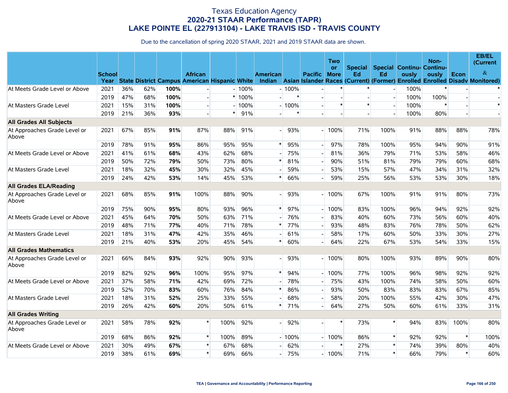|                                       |               |     |     |      |                                                                      |        |         |                          |         |                | Two<br><b>or</b> | Special |        | <b>Special Continu- Continu-</b> | Non-   |        | EB/EL<br>(Current<br>$\&$                                                          |
|---------------------------------------|---------------|-----|-----|------|----------------------------------------------------------------------|--------|---------|--------------------------|---------|----------------|------------------|---------|--------|----------------------------------|--------|--------|------------------------------------------------------------------------------------|
|                                       | <b>School</b> |     |     |      | <b>African</b><br>Year State District Campus American Hispanic White |        |         | <b>American</b>          |         | <b>Pacific</b> | <b>More</b>      | Ed      | Ed     | ously                            | ously  | Econ   | Indian Asian Islander Races (Current) (Former) Enrolled Enrolled Disady Monitored) |
| At Meets Grade Level or Above         | 2021          | 36% | 62% | 100% |                                                                      |        | $-100%$ |                          | $-100%$ |                | $\ast$           |         |        | 100%                             | $\ast$ |        |                                                                                    |
|                                       | 2019          | 47% | 68% | 100% |                                                                      |        | $*100%$ |                          | $\ast$  |                |                  |         |        | 100%                             | 100%   |        |                                                                                    |
| At Masters Grade Level                | 2021          | 15% | 31% | 100% |                                                                      |        | $-100%$ |                          | $-100%$ |                | $\ast$           | $\ast$  |        | 100%                             | $\ast$ |        | $\ast$                                                                             |
|                                       | 2019          | 21% | 36% | 93%  |                                                                      | $\ast$ | 91%     |                          | $\ast$  |                |                  |         |        | 100%                             | 80%    |        |                                                                                    |
| <b>All Grades All Subjects</b>        |               |     |     |      |                                                                      |        |         |                          |         |                |                  |         |        |                                  |        |        |                                                                                    |
| At Approaches Grade Level or<br>Above | 2021          | 67% | 85% | 91%  | 87%                                                                  | 88%    | 91%     | $\overline{\phantom{a}}$ | 93%     |                | $-100%$          | 71%     | 100%   | 91%                              | 88%    | 88%    | 78%                                                                                |
|                                       | 2019          | 78% | 91% | 95%  | 86%                                                                  | 95%    | 95%     | $\ast$                   | 95%     |                | 97%              | 78%     | 100%   | 95%                              | 94%    | 90%    | 91%                                                                                |
| At Meets Grade Level or Above         | 2021          | 41% | 61% | 68%  | 43%                                                                  | 62%    | 68%     |                          | 75%     |                | 81%              | 36%     | 79%    | 71%                              | 53%    | 58%    | 46%                                                                                |
|                                       | 2019          | 50% | 72% | 79%  | 50%                                                                  | 73%    | 80%     | $\ast$                   | 81%     |                | 90%              | 51%     | 81%    | 79%                              | 79%    | 60%    | 68%                                                                                |
| At Masters Grade Level                | 2021          | 18% | 32% | 45%  | 30%                                                                  | 32%    | 45%     |                          | 59%     |                | 53%              | 15%     | 57%    | 47%                              | 34%    | 31%    | 32%                                                                                |
|                                       | 2019          | 24% | 42% | 53%  | 14%                                                                  | 45%    | 53%     | $\ast$                   | 66%     |                | 59%              | 25%     | 56%    | 53%                              | 53%    | 30%    | 18%                                                                                |
| <b>All Grades ELA/Reading</b>         |               |     |     |      |                                                                      |        |         |                          |         |                |                  |         |        |                                  |        |        |                                                                                    |
| At Approaches Grade Level or<br>Above | 2021          | 68% | 85% | 91%  | 100%                                                                 | 88%    | 90%     | $\overline{\phantom{a}}$ | 93%     |                | 100%             | 67%     | 100%   | 91%                              | 91%    | 80%    | 73%                                                                                |
|                                       | 2019          | 75% | 90% | 95%  | 80%                                                                  | 93%    | 96%     | $\ast$                   | 97%     |                | 100%             | 83%     | 100%   | 96%                              | 94%    | 92%    | 92%                                                                                |
| At Meets Grade Level or Above         | 2021          | 45% | 64% | 70%  | 50%                                                                  | 63%    | 71%     |                          | 76%     |                | 83%              | 40%     | 60%    | 73%                              | 56%    | 60%    | 40%                                                                                |
|                                       | 2019          | 48% | 71% | 77%  | 40%                                                                  | 71%    | 78%     |                          | 77%     |                | 93%              | 48%     | 83%    | 76%                              | 78%    | 50%    | 62%                                                                                |
| At Masters Grade Level                | 2021          | 18% | 31% | 47%  | 42%                                                                  | 35%    | 46%     |                          | 61%     |                | 58%              | 17%     | 60%    | 50%                              | 33%    | 30%    | 27%                                                                                |
|                                       | 2019          | 21% | 40% | 53%  | 20%                                                                  | 45%    | 54%     | $\ast$                   | 60%     |                | 64%              | 22%     | 67%    | 53%                              | 54%    | 33%    | 15%                                                                                |
| <b>All Grades Mathematics</b>         |               |     |     |      |                                                                      |        |         |                          |         |                |                  |         |        |                                  |        |        |                                                                                    |
| At Approaches Grade Level or<br>Above | 2021          | 66% | 84% | 93%  | 92%                                                                  | 90%    | 93%     | $\overline{a}$           | 93%     |                | 100%             | 80%     | 100%   | 93%                              | 89%    | 90%    | 80%                                                                                |
|                                       | 2019          | 82% | 92% | 96%  | 100%                                                                 | 95%    | 97%     | $\ast$                   | 94%     |                | 100%             | 77%     | 100%   | 96%                              | 98%    | 92%    | 92%                                                                                |
| At Meets Grade Level or Above         | 2021          | 37% | 58% | 71%  | 42%                                                                  | 69%    | 72%     |                          | 78%     |                | 75%              | 43%     | 100%   | 74%                              | 58%    | 50%    | 60%                                                                                |
|                                       | 2019          | 52% | 70% | 83%  | 60%                                                                  | 76%    | 84%     | $\ast$                   | 86%     |                | 93%              | 50%     | 83%    | 83%                              | 83%    | 67%    | 85%                                                                                |
| At Masters Grade Level                | 2021          | 18% | 31% | 52%  | 25%                                                                  | 33%    | 55%     |                          | 68%     |                | 58%              | 20%     | 100%   | 55%                              | 42%    | 30%    | 47%                                                                                |
|                                       | 2019          | 26% | 42% | 60%  | 20%                                                                  | 50%    | 61%     | $\ast$                   | 71%     |                | 64%              | 27%     | 50%    | 60%                              | 61%    | 33%    | 31%                                                                                |
| <b>All Grades Writing</b>             |               |     |     |      |                                                                      |        |         |                          |         |                |                  |         |        |                                  |        |        |                                                                                    |
| At Approaches Grade Level or<br>Above | 2021          | 58% | 78% | 92%  | $\ast$                                                               | 100%   | 92%     | $\overline{\phantom{0}}$ | 92%     |                | $\ast$           | 73%     | $\ast$ | 94%                              | 83%    | 100%   | 80%                                                                                |
|                                       | 2019          | 68% | 86% | 92%  | $\ast$                                                               | 100%   | 89%     |                          | $-100%$ |                | 100%             | 86%     | $\ast$ | 92%                              | 92%    | $\ast$ | 100%                                                                               |
| At Meets Grade Level or Above         | 2021          | 30% | 49% | 67%  | $\ast$                                                               | 67%    | 68%     |                          | 62%     |                |                  | 27%     | $\ast$ | 74%                              | 39%    | 80%    | 40%                                                                                |
|                                       | 2019          | 38% | 61% | 69%  | $\ast$                                                               | 69%    | 66%     |                          | 75%     |                | $-100%$          | 71%     | $\ast$ | 66%                              | 79%    | $\ast$ | 60%                                                                                |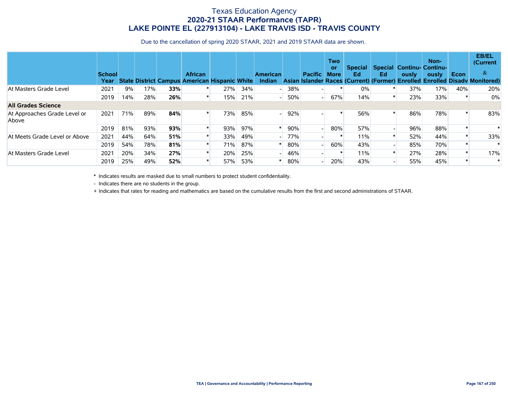Due to the cancellation of spring 2020 STAAR, 2021 and 2019 STAAR data are shown.

|                                       | <b>School</b><br>Year |     |     |     | <b>African</b><br><b>State District Campus American Hispanic White</b> |     |     | <b>American</b><br>Indian |     | <b>Pacific</b> | <b>Two</b><br>or<br><b>More</b> | <b>Special</b><br>Ed | Ed | <b>Special Continu- Continu-</b><br>ously | Non-<br>ously | Econ | <b>EB/EL</b><br>(Current<br>&<br>Asian Islander Races (Current) (Former) Enrolled Enrolled Disady Monitored) |
|---------------------------------------|-----------------------|-----|-----|-----|------------------------------------------------------------------------|-----|-----|---------------------------|-----|----------------|---------------------------------|----------------------|----|-------------------------------------------|---------------|------|--------------------------------------------------------------------------------------------------------------|
| At Masters Grade Level                | 2021                  | 9%  | 17% | 33% |                                                                        | 27% | 34% |                           | 38% |                |                                 | $0\%$                |    | 37%                                       | 17%           | 40%  | 20%                                                                                                          |
|                                       | 2019                  | 14% | 28% | 26% |                                                                        | 15% | 21% | $\overline{\phantom{a}}$  | 50% |                | 67%                             | 14%                  |    | 23%                                       | 33%           |      | $0\%$                                                                                                        |
| <b>All Grades Science</b>             |                       |     |     |     |                                                                        |     |     |                           |     |                |                                 |                      |    |                                           |               |      |                                                                                                              |
| At Approaches Grade Level or<br>Above | 2021                  | 71% | 89% | 84% |                                                                        | 73% | 85% |                           | 92% |                | *                               | 56%                  |    | 86%                                       | 78%           |      | 83%                                                                                                          |
|                                       | 2019                  | 81% | 93% | 93% |                                                                        | 93% | 97% |                           | 90% |                | 80%                             | 57%                  |    | 96%                                       | 88%           |      |                                                                                                              |
| At Meets Grade Level or Above         | 2021                  | 44% | 64% | 51% |                                                                        | 33% | 49% |                           | 77% |                |                                 | 11%                  |    | 52%                                       | 44%           |      | 33%                                                                                                          |
|                                       | 2019                  | 54% | 78% | 81% |                                                                        | 71% | 87% |                           | 80% |                | 60%                             | 43%                  |    | 85%                                       | 70%           |      |                                                                                                              |
| At Masters Grade Level                | 2021                  | 20% | 34% | 27% |                                                                        | 20% | 25% |                           | 46% |                |                                 | 11%                  |    | 27%                                       | 28%           |      | 17%                                                                                                          |
|                                       | 2019                  | 25% | 49% | 52% |                                                                        | 57% | 53% |                           | 80% |                | 20%                             | 43%                  |    | 55%                                       | 45%           |      |                                                                                                              |

\* Indicates results are masked due to small numbers to protect student confidentiality.

- Indicates there are no students in the group.

+ Indicates that rates for reading and mathematics are based on the cumulative results from the first and second administrations of STAAR.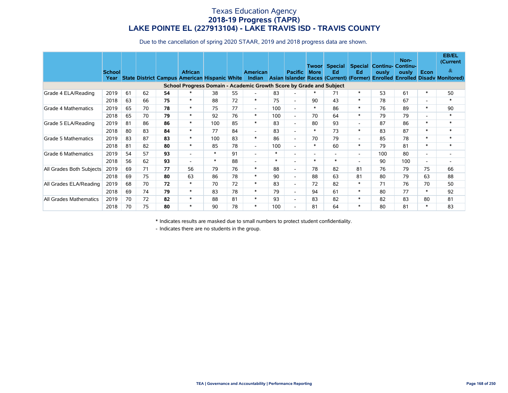Due to the cancellation of spring 2020 STAAR, 2019 and 2018 progress data are shown.

|                            | <b>School</b> |    |    |    | <b>African</b><br>Year State District Campus American Hispanic White |        |    | <b>American</b>          |        | <b>Pacific</b>           | <b>Twoor</b><br><b>More</b> | Special<br>Ed            | Ed.                      | <b>Special Continu- Continu-</b><br>ously | Non-<br>ously | Econ                     | <b>EB/EL</b><br>(Current<br>$\&$<br>Indian Asian Islander Races (Current) (Former) Enrolled Enrolled Disady Monitored) |
|----------------------------|---------------|----|----|----|----------------------------------------------------------------------|--------|----|--------------------------|--------|--------------------------|-----------------------------|--------------------------|--------------------------|-------------------------------------------|---------------|--------------------------|------------------------------------------------------------------------------------------------------------------------|
|                            |               |    |    |    | School Progress Domain - Academic Growth Score by Grade and Subject  |        |    |                          |        |                          |                             |                          |                          |                                           |               |                          |                                                                                                                        |
| Grade 4 ELA/Reading        | 2019          | 61 | 62 | 54 |                                                                      | 38     | 55 | $\overline{\phantom{a}}$ | 83     |                          | $\ast$                      | 71                       | $\ast$                   | 53                                        | 61            | $\ast$                   | 50                                                                                                                     |
|                            | 2018          | 63 | 66 | 75 | $\ast$                                                               | 88     | 72 | $\ast$                   | 75     | $\overline{\phantom{a}}$ | 90                          | 43                       | $\ast$                   | 78                                        | 67            | $\overline{\phantom{0}}$ | $\ast$                                                                                                                 |
| <b>Grade 4 Mathematics</b> | 2019          | 65 | 70 | 78 | $\ast$                                                               | 75     | 77 | $\sim$                   | 100    | $\overline{\phantom{a}}$ | $\ast$                      | 86                       | $\ast$                   | 76                                        | 89            | $\ast$                   | 90                                                                                                                     |
|                            | 2018          | 65 | 70 | 79 | $\ast$                                                               | 92     | 76 | $\ast$                   | 100    | $\sim$                   | 70                          | 64                       | $\ast$                   | 79                                        | 79            | $\overline{\phantom{0}}$ | $\ast$                                                                                                                 |
| Grade 5 ELA/Reading        | 2019          | 81 | 86 | 86 | $\ast$                                                               | 100    | 85 | $\ast$                   | 83     | $\overline{\phantom{a}}$ | 80                          | 93                       | $\overline{\phantom{a}}$ | 87                                        | 86            | $\ast$                   | $\ast$                                                                                                                 |
|                            | 2018          | 80 | 83 | 84 | $\ast$                                                               | 77     | 84 | $\overline{\phantom{a}}$ | 83     | $\overline{\phantom{a}}$ | $\ast$                      | 73                       | $\ast$                   | 83                                        | 87            | $\ast$                   | $*$                                                                                                                    |
| <b>Grade 5 Mathematics</b> | 2019          | 83 | 87 | 83 | $\ast$                                                               | 100    | 83 | $\ast$                   | 86     | $\overline{\phantom{a}}$ | 70                          | 79                       | $\overline{\phantom{a}}$ | 85                                        | 78            | $\ast$                   | $\ast$                                                                                                                 |
|                            | 2018          | 81 | 82 | 80 | $\ast$                                                               | 85     | 78 | $\sim$                   | 100    | $\overline{\phantom{a}}$ | $\ast$                      | 60                       | $\ast$                   | 79                                        | 81            | $\ast$                   | $\ast$                                                                                                                 |
| Grade 6 Mathematics        | 2019          | 54 | 57 | 93 | $\overline{\phantom{0}}$                                             | $\ast$ | 91 | $\overline{\phantom{a}}$ | $\ast$ | $\overline{\phantom{a}}$ | $\overline{\phantom{a}}$    | $\overline{\phantom{a}}$ | $\overline{\phantom{a}}$ | 100                                       | 80            | $\overline{\phantom{0}}$ | $\overline{\phantom{0}}$                                                                                               |
|                            | 2018          | 56 | 62 | 93 | $\overline{a}$                                                       | $\ast$ | 88 | $\overline{\phantom{a}}$ | $\ast$ | $\overline{\phantom{a}}$ | $\ast$                      | $\ast$                   | $\overline{\phantom{a}}$ | 90                                        | 100           | $\overline{\phantom{0}}$ | $\overline{\phantom{0}}$                                                                                               |
| All Grades Both Subjects   | 2019          | 69 | 71 | 77 | 56                                                                   | 79     | 76 | $\ast$                   | 88     | $\overline{a}$           | 78                          | 82                       | 81                       | 76                                        | 79            | 75                       | 66                                                                                                                     |
|                            | 2018          | 69 | 75 | 80 | 63                                                                   | 86     | 78 | $\ast$                   | 90     | $\overline{\phantom{a}}$ | 88                          | 63                       | 81                       | 80                                        | 79            | 63                       | 88                                                                                                                     |
| All Grades ELA/Reading     | 2019          | 68 | 70 | 72 | $\ast$                                                               | 70     | 72 | $\ast$                   | 83     | $\overline{\phantom{a}}$ | 72                          | 82                       | $\ast$                   | 71                                        | 76            | 70                       | 50                                                                                                                     |
|                            | 2018          | 69 | 74 | 79 | $\ast$                                                               | 83     | 78 | $\ast$                   | 79     | $\overline{a}$           | 94                          | 61                       | $\ast$                   | 80                                        | 77            | $\ast$                   | 92                                                                                                                     |
| All Grades Mathematics     | 2019          | 70 | 72 | 82 | $\ast$                                                               | 88     | 81 | $\ast$                   | 93     | $\overline{\phantom{a}}$ | 83                          | 82                       | $\ast$                   | 82                                        | 83            | 80                       | 81                                                                                                                     |
|                            | 2018          | 70 | 75 | 80 | $\ast$                                                               | 90     | 78 | $\ast$                   | 100    | $\overline{\phantom{a}}$ | 81                          | 64                       | $\ast$                   | 80                                        | 81            | $*$                      | 83                                                                                                                     |

\* Indicates results are masked due to small numbers to protect student confidentiality.

- Indicates there are no students in the group.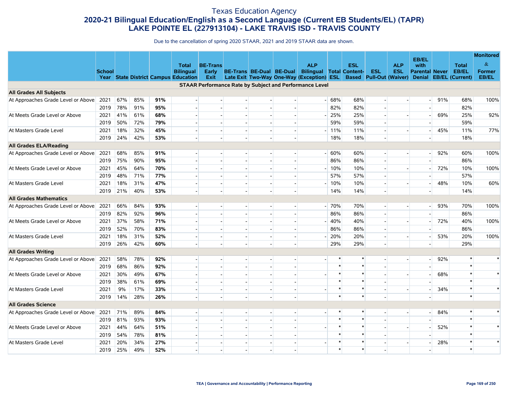# Texas Education Agency **2020-21 Bilingual Education/English as a Second Language (Current EB Students/EL) (TAPR) LAKE POINTE EL (227913104) - LAKE TRAVIS ISD - TRAVIS COUNTY**

|                                    |               |     |     |     |                                             |                          |                          |                          |                          |                                                                                                             |                  |                        |                                |                          | <b>EB/EL</b>             |     |                        | <b>Monitored</b> |
|------------------------------------|---------------|-----|-----|-----|---------------------------------------------|--------------------------|--------------------------|--------------------------|--------------------------|-------------------------------------------------------------------------------------------------------------|------------------|------------------------|--------------------------------|--------------------------|--------------------------|-----|------------------------|------------------|
|                                    |               |     |     |     | <b>Total</b>                                | <b>BE-Trans</b>          |                          |                          |                          | <b>ALP</b>                                                                                                  |                  | <b>ESL</b>             |                                | <b>ALP</b>               | with                     |     | <b>Total</b>           | $\&$             |
|                                    | <b>School</b> |     |     |     | <b>Bilingual</b>                            | Early                    |                          | BE-Trans BE-Dual BE-Dual |                          | <b>Bilingual Total Content-</b>                                                                             |                  |                        | <b>ESL</b>                     | <b>ESL</b>               | <b>Parental Never</b>    |     | <b>EB/EL</b>           | <b>Former</b>    |
|                                    |               |     |     |     | <b>Year State District Campus Education</b> | Exit                     |                          |                          |                          | Late Exit Two-Way One-Way (Exception) ESL<br><b>STAAR Performance Rate by Subject and Performance Level</b> |                  |                        | <b>Based Pull-Out (Waiver)</b> |                          |                          |     | Denial EB/EL (Current) | EB/EL            |
| All Grades All Subjects            |               |     |     |     |                                             |                          |                          |                          |                          |                                                                                                             |                  |                        |                                |                          |                          |     |                        |                  |
| At Approaches Grade Level or Above | 2021          | 67% | 85% | 91% | $\overline{\phantom{a}}$                    |                          | $\overline{\phantom{a}}$ |                          | $\overline{\phantom{a}}$ | ٠                                                                                                           | 68%              | 68%                    | $\overline{\phantom{a}}$       | $\overline{\phantom{a}}$ |                          | 91% | 68%                    | 100%             |
|                                    | 2019          | 78% | 91% | 95% |                                             |                          |                          |                          |                          |                                                                                                             | 82%              | 82%                    |                                |                          |                          |     | 82%                    |                  |
| At Meets Grade Level or Above      | 2021          | 41% | 61% | 68% | $\overline{\phantom{a}}$                    |                          |                          |                          |                          |                                                                                                             | 25%              | 25%                    | $\overline{\phantom{a}}$       | $\sim$                   |                          | 69% | 25%                    | 92%              |
|                                    | 2019          | 50% | 72% | 79% | $\sim$                                      |                          |                          |                          |                          |                                                                                                             | 59%              | 59%                    | $\overline{a}$                 |                          |                          |     | 59%                    |                  |
| At Masters Grade Level             | 2021          | 18% | 32% | 45% | $\overline{\phantom{a}}$                    |                          | $\overline{\phantom{a}}$ |                          |                          |                                                                                                             | $-11\%$          | 11%                    | $\overline{\phantom{a}}$       |                          | $\overline{\phantom{a}}$ | 45% | 11%                    | 77%              |
|                                    | 2019          | 24% | 42% | 53% |                                             |                          |                          |                          |                          |                                                                                                             | 18%              | 18%                    |                                |                          |                          |     | 18%                    |                  |
| <b>All Grades ELA/Reading</b>      |               |     |     |     |                                             |                          |                          |                          |                          |                                                                                                             |                  |                        |                                |                          |                          |     |                        |                  |
| At Approaches Grade Level or Above | 2021          | 68% | 85% | 91% | $\overline{\phantom{a}}$                    | $\overline{\phantom{a}}$ |                          |                          |                          |                                                                                                             | $- 60%$          | 60%                    | $\overline{\phantom{a}}$       | $\overline{\phantom{a}}$ | $\overline{\phantom{a}}$ | 92% | 60%                    | 100%             |
|                                    | 2019          | 75% | 90% | 95% |                                             |                          |                          |                          |                          |                                                                                                             | 86%              | 86%                    |                                |                          |                          |     | 86%                    |                  |
| At Meets Grade Level or Above      | 2021          | 45% | 64% | 70% | $\sim$                                      |                          |                          |                          |                          |                                                                                                             | $-10%$           | 10%                    |                                | $\blacksquare$           |                          | 72% | 10%                    | 100%             |
|                                    | 2019          | 48% | 71% | 77% | $\overline{\phantom{a}}$                    |                          |                          |                          |                          |                                                                                                             | 57%              | 57%                    | $\overline{a}$                 |                          |                          |     | 57%                    |                  |
| At Masters Grade Level             | 2021          | 18% | 31% | 47% | $\overline{\phantom{a}}$                    |                          |                          |                          |                          |                                                                                                             | $-10%$           | 10%                    |                                |                          |                          | 48% | 10%                    | 60%              |
|                                    | 2019          | 21% | 40% | 53% |                                             |                          |                          |                          |                          |                                                                                                             | 14%              | 14%                    |                                |                          |                          |     | 14%                    |                  |
| <b>All Grades Mathematics</b>      |               |     |     |     |                                             |                          |                          |                          |                          |                                                                                                             |                  |                        |                                |                          |                          |     |                        |                  |
| At Approaches Grade Level or Above | 2021          | 66% | 84% | 93% | $\sim$                                      | $\sim$                   | $\overline{\phantom{a}}$ |                          |                          |                                                                                                             | $-70%$           | 70%                    | $\overline{\phantom{a}}$       | $\sim$                   | $\overline{\phantom{a}}$ | 93% | 70%                    | 100%             |
|                                    | 2019          | 82% | 92% | 96% | $\overline{\phantom{a}}$                    |                          |                          |                          |                          |                                                                                                             | 86%              | 86%                    | $\overline{\phantom{a}}$       |                          |                          |     | 86%                    |                  |
| At Meets Grade Level or Above      | 2021          | 37% | 58% | 71% | $\overline{\phantom{a}}$                    |                          |                          |                          |                          |                                                                                                             | 40%              | 40%                    |                                | $\blacksquare$           |                          | 72% | 40%                    | 100%             |
|                                    | 2019          | 52% | 70% | 83% | $\sim$                                      |                          |                          |                          |                          |                                                                                                             | 86%              | 86%                    | $\overline{a}$                 |                          |                          |     | 86%                    |                  |
| At Masters Grade Level             | 2021          | 18% | 31% | 52% | $\sim$                                      |                          | $\overline{\phantom{a}}$ |                          | $\overline{\phantom{a}}$ |                                                                                                             | 20%              | 20%                    | $\blacksquare$                 |                          |                          | 53% | 20%                    | 100%             |
|                                    | 2019          | 26% | 42% | 60% |                                             |                          |                          |                          |                          |                                                                                                             | 29%              | 29%                    |                                |                          |                          |     | 29%                    |                  |
| <b>All Grades Writing</b>          |               |     |     |     |                                             |                          |                          |                          |                          |                                                                                                             |                  |                        |                                |                          |                          |     |                        |                  |
| At Approaches Grade Level or Above | 2021          | 58% | 78% | 92% | $\overline{\phantom{a}}$                    | $\overline{a}$           |                          |                          |                          |                                                                                                             | $\ast$           | *                      | $\overline{a}$                 | $\sim$                   | $\overline{\phantom{a}}$ | 92% | $\ast$                 |                  |
|                                    | 2019          | 68% | 86% | 92% |                                             |                          |                          |                          |                          |                                                                                                             | $\ast$           | $\ast$                 |                                |                          |                          |     | $\ast$                 |                  |
| At Meets Grade Level or Above      | 2021          | 30% | 49% | 67% | $\sim$                                      |                          |                          |                          |                          |                                                                                                             | $\ast$           | $\ast$                 |                                |                          |                          | 68% | $\ast$                 |                  |
|                                    | 2019          | 38% | 61% | 69% | $\sim$                                      | $\mathbf{u}^{(1)}$       | $\overline{a}$           |                          |                          |                                                                                                             | $\ast$           | $\ast$                 | $\overline{a}$                 |                          |                          |     | $\ast$                 |                  |
| At Masters Grade Level             | 2021          | 9%  | 17% | 33% | $\overline{\phantom{a}}$                    | $\overline{a}$           | $\overline{a}$           |                          | $\overline{\phantom{a}}$ |                                                                                                             | $\ast$           | $\ast$                 | $\overline{a}$                 |                          |                          | 34% | $\ast$                 |                  |
|                                    | 2019          | 14% | 28% | 26% |                                             |                          |                          |                          |                          |                                                                                                             | $\ast$           | $\ast$                 |                                |                          |                          |     | $\ast$                 |                  |
| <b>All Grades Science</b>          |               |     |     |     |                                             |                          |                          |                          |                          |                                                                                                             |                  | $\ast$                 |                                |                          |                          |     | $\ast$                 |                  |
| At Approaches Grade Level or Above | 2021          | 71% | 89% | 84% | $\overline{a}$                              | $\overline{a}$           | $\overline{a}$           |                          |                          |                                                                                                             | $\ast$           |                        | $\sim$                         |                          | ۰                        | 84% |                        |                  |
|                                    | 2019          | 81% | 93% | 93% | $\overline{\phantom{a}}$                    |                          |                          |                          |                          |                                                                                                             | $\ast$           | $\ast$                 |                                |                          |                          |     | $\ast$                 |                  |
| At Meets Grade Level or Above      | 2021          | 44% | 64% | 51% | $\sim$                                      |                          |                          |                          |                          |                                                                                                             | $\ast$<br>$\ast$ | $\pmb{\ast}$<br>$\ast$ |                                |                          |                          | 52% | $\ast$<br>$\ast$       |                  |
|                                    | 2019          | 54% | 78% | 81% | $\overline{\phantom{a}}$                    |                          |                          |                          |                          |                                                                                                             | $\ast$           | $\ast$                 |                                |                          |                          |     | $\ast$                 | $\ast$           |
| At Masters Grade Level             | 2021          | 20% | 34% | 27% | $\overline{\phantom{a}}$                    |                          |                          |                          |                          |                                                                                                             |                  |                        | $\overline{a}$                 |                          |                          | 28% |                        |                  |
|                                    | 2019          | 25% | 49% | 52% |                                             |                          |                          |                          |                          |                                                                                                             |                  |                        |                                |                          |                          |     |                        |                  |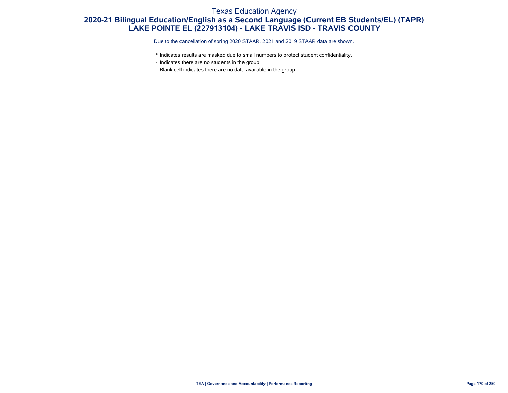#### Texas Education Agency

# **2020-21 Bilingual Education/English as a Second Language (Current EB Students/EL) (TAPR) LAKE POINTE EL (227913104) - LAKE TRAVIS ISD - TRAVIS COUNTY**

Due to the cancellation of spring 2020 STAAR, 2021 and 2019 STAAR data are shown.

- \* Indicates results are masked due to small numbers to protect student confidentiality.
- Indicates there are no students in the group.

Blank cell indicates there are no data available in the group.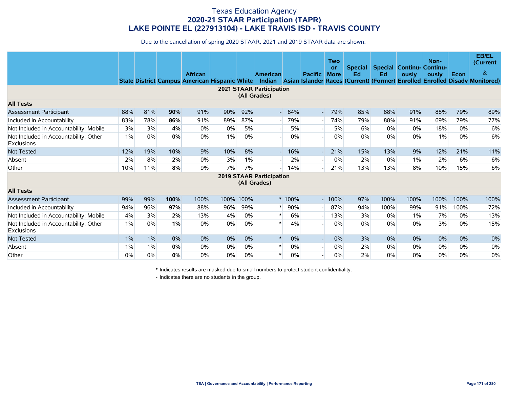Due to the cancellation of spring 2020 STAAR, 2021 and 2019 STAAR data are shown.

|                                                            |     |       |      | <b>African</b><br><b>State District Campus American Hispanic White</b> |     |           | <b>American</b>                                 |        | <b>Pacific</b>           | <b>Two</b><br>or<br><b>More</b> | <b>Special</b><br>Ed | Ed    | <b>Special Continu- Continu-</b><br>ously | Non-<br>ously | Econ  | <b>EB/EL</b><br>(Current)<br>$\&$<br>Indian Asian Islander Races (Current) (Former) Enrolled Enrolled Disady Monitored) |
|------------------------------------------------------------|-----|-------|------|------------------------------------------------------------------------|-----|-----------|-------------------------------------------------|--------|--------------------------|---------------------------------|----------------------|-------|-------------------------------------------|---------------|-------|-------------------------------------------------------------------------------------------------------------------------|
|                                                            |     |       |      |                                                                        |     |           | <b>2021 STAAR Participation</b><br>(All Grades) |        |                          |                                 |                      |       |                                           |               |       |                                                                                                                         |
| <b>All Tests</b>                                           |     |       |      |                                                                        |     |           |                                                 |        |                          |                                 |                      |       |                                           |               |       |                                                                                                                         |
| <b>Assessment Participant</b>                              | 88% | 81%   | 90%  | 91%                                                                    | 90% | 92%       | $\overline{\phantom{a}}$                        | 84%    | $\overline{\phantom{a}}$ | 79%                             | 85%                  | 88%   | 91%                                       | 88%           | 79%   | 89%                                                                                                                     |
| Included in Accountability                                 | 83% | 78%   | 86%  | 91%                                                                    | 89% | 87%       |                                                 | 79%    |                          | 74%                             | 79%                  | 88%   | 91%                                       | 69%           | 79%   | 77%                                                                                                                     |
| Not Included in Accountability: Mobile                     | 3%  | 3%    | 4%   | 0%                                                                     | 0%  | 5%        |                                                 | 5%     |                          | 5%                              | 6%                   | $0\%$ | 0%                                        | 18%           | 0%    | 6%                                                                                                                      |
| Not Included in Accountability: Other<br><b>Exclusions</b> | 1%  | 0%    | 0%   | 0%                                                                     | 1%  | 0%        |                                                 | 0%     |                          | 0%                              | $0\%$                | 0%    | 0%                                        | 1%            | 0%    | 6%                                                                                                                      |
| <b>Not Tested</b>                                          | 12% | 19%   | 10%  | 9%                                                                     | 10% | 8%        | $\overline{\phantom{a}}$                        | 16%    | $\overline{\phantom{a}}$ | 21%                             | 15%                  | 13%   | 9%                                        | 12%           | 21%   | 11%                                                                                                                     |
| Absent                                                     | 2%  | 8%    | 2%   | $0\%$                                                                  | 3%  | 1%        | $\overline{\phantom{a}}$                        | 2%     |                          | 0%                              | 2%                   | 0%    | 1%                                        | 2%            | 6%    | 6%                                                                                                                      |
| Other                                                      | 10% | 11%   | 8%   | 9%                                                                     | 7%  | 7%        |                                                 | 14%    |                          | 21%                             | 13%                  | 13%   | 8%                                        | 10%           | 15%   | 6%                                                                                                                      |
|                                                            |     |       |      |                                                                        |     |           | <b>2019 STAAR Participation</b><br>(All Grades) |        |                          |                                 |                      |       |                                           |               |       |                                                                                                                         |
| <b>All Tests</b>                                           |     |       |      |                                                                        |     |           |                                                 |        |                          |                                 |                      |       |                                           |               |       |                                                                                                                         |
| <b>Assessment Participant</b>                              | 99% | 99%   | 100% | 100%                                                                   |     | 100% 100% |                                                 | * 100% |                          | $-100%$                         | 97%                  | 100%  | 100%                                      | 100%          | 100%  | 100%                                                                                                                    |
| Included in Accountability                                 | 94% | 96%   | 97%  | 88%                                                                    | 96% | 99%       | ∗                                               | 90%    | $\overline{\phantom{a}}$ | 87%                             | 94%                  | 100%  | 99%                                       | 91%           | 100%  | 72%                                                                                                                     |
| Not Included in Accountability: Mobile                     | 4%  | 3%    | 2%   | 13%                                                                    | 4%  | 0%        |                                                 | 6%     |                          | 13%                             | 3%                   | 0%    | 1%                                        | 7%            | $0\%$ | 13%                                                                                                                     |
| Not Included in Accountability: Other<br><b>Exclusions</b> | 1%  | 0%    | 1%   | 0%                                                                     | 0%  | 0%        |                                                 | 4%     |                          | $0\%$                           | $0\%$                | $0\%$ | 0%                                        | 3%            | 0%    | 15%                                                                                                                     |
| <b>Not Tested</b>                                          | 1%  | $1\%$ | 0%   | 0%                                                                     | 0%  | 0%        | $\ast$                                          | 0%     | $\overline{\phantom{a}}$ | 0%                              | 3%                   | 0%    | 0%                                        | 0%            | 0%    | 0%                                                                                                                      |
| Absent                                                     | 1%  | 1%    | 0%   | 0%                                                                     | 0%  | 0%        | $\ast$                                          | 0%     |                          | 0%                              | 2%                   | $0\%$ | 0%                                        | 0%            | $0\%$ | 0%                                                                                                                      |
| Other                                                      | 0%  | 0%    | 0%   | 0%                                                                     | 0%  | 0%        | $\ast$                                          | 0%     |                          | 0%                              | 2%                   | $0\%$ | 0%                                        | 0%            | 0%    | 0%                                                                                                                      |

\* Indicates results are masked due to small numbers to protect student confidentiality.

- Indicates there are no students in the group.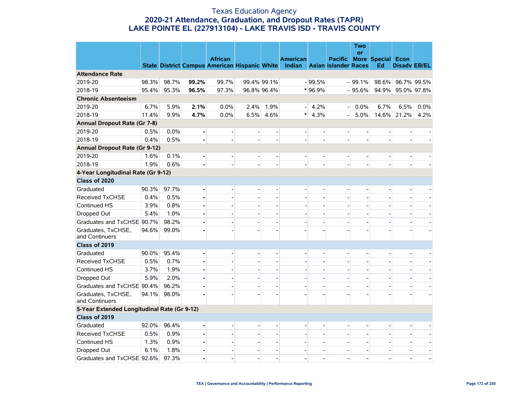#### Texas Education Agency **2020-21 Attendance, Graduation, and Dropout Rates (TAPR) LAKE POINTE EL (227913104) - LAKE TRAVIS ISD - TRAVIS COUNTY**

|                                             |       |       |                | <b>African</b>                                       |                              |                | <b>American</b>             |                          | <b>Pacific</b>           | <b>Two</b><br><b>or</b>  | <b>More Special Econ</b> |                          |                          |
|---------------------------------------------|-------|-------|----------------|------------------------------------------------------|------------------------------|----------------|-----------------------------|--------------------------|--------------------------|--------------------------|--------------------------|--------------------------|--------------------------|
|                                             |       |       |                | <b>State District Campus American Hispanic White</b> |                              |                | Indian Asian Islander Races |                          |                          |                          | Ed                       | <b>Disady EB/EL</b>      |                          |
| <b>Attendance Rate</b>                      |       |       |                |                                                      |                              |                |                             |                          |                          |                          |                          |                          |                          |
| 2019-20                                     | 98.3% | 98.7% | 99.2%          | 99.7%                                                |                              | 99.4% 99.1%    |                             | $-99.5%$                 |                          | $-99.1%$                 |                          | 98.6% 96.7% 99.5%        |                          |
| 2018-19                                     | 95.4% | 95.3% | 96.5%          | 97.3%                                                |                              | 96.8% 96.4%    |                             | * 96.9%                  |                          | $-95.6%$                 |                          | 94.9% 95.0% 97.8%        |                          |
| <b>Chronic Absenteeism</b>                  |       |       |                |                                                      |                              |                |                             |                          |                          |                          |                          |                          |                          |
| 2019-20                                     | 6.7%  | 5.9%  | 2.1%           | $0.0\%$                                              | $2.4\%$                      | 1.9%           | $\overline{\phantom{a}}$    | 4.2%                     | $\overline{a}$           | $0.0\%$                  | 6.7%                     | 6.5%                     | $0.0\%$                  |
| 2018-19                                     | 11.4% | 9.9%  | 4.7%           | 0.0%                                                 | 6.5%                         | 4.6%           | $\ast$                      | 4.3%                     |                          | 5.0%                     |                          | 14.6% 21.2%              | 4.2%                     |
| <b>Annual Dropout Rate (Gr 7-8)</b>         |       |       |                |                                                      |                              |                |                             |                          |                          |                          |                          |                          |                          |
| 2019-20                                     | 0.5%  | 0.0%  | ٠              | $\overline{\phantom{0}}$                             | $\blacksquare$               |                | $\frac{1}{2}$               |                          | $\overline{\phantom{a}}$ |                          | $\overline{a}$           | $\overline{\phantom{a}}$ |                          |
| 2018-19                                     | 0.4%  | 0.5%  |                | $\overline{\phantom{0}}$                             | $\blacksquare$               | ۰              | $\blacksquare$              | $\blacksquare$           |                          | $\overline{\phantom{a}}$ | $\overline{\phantom{0}}$ | $\overline{a}$           |                          |
| <b>Annual Dropout Rate (Gr 9-12)</b>        |       |       |                |                                                      |                              |                |                             |                          |                          |                          |                          |                          |                          |
| 2019-20                                     | 1.6%  | 0.1%  |                |                                                      | $\overline{\phantom{a}}$     | $\overline{a}$ | $\overline{\phantom{0}}$    |                          |                          |                          | $\overline{\phantom{a}}$ | $\overline{a}$           |                          |
| 2018-19                                     | 1.9%  | 0.6%  |                |                                                      | $\overline{a}$               |                |                             |                          |                          |                          |                          |                          |                          |
| 4-Year Longitudinal Rate (Gr 9-12)          |       |       |                |                                                      |                              |                |                             |                          |                          |                          |                          |                          |                          |
| Class of 2020                               |       |       |                |                                                      |                              |                |                             |                          |                          |                          |                          |                          |                          |
| Graduated                                   | 90.3% | 97.7% | $\blacksquare$ |                                                      | $\overline{\phantom{a}}$     | $\overline{a}$ | $\overline{\phantom{a}}$    |                          |                          | $\overline{a}$           | $\blacksquare$           | ÷                        | $\overline{\phantom{a}}$ |
| <b>Received TxCHSE</b>                      | 0.4%  | 0.5%  | $\blacksquare$ |                                                      | $\overline{\phantom{a}}$     |                |                             |                          |                          |                          |                          |                          |                          |
| Continued HS                                | 3.9%  | 0.8%  | ۰              | -                                                    | $\overline{\phantom{a}}$     |                | $\overline{a}$              |                          |                          |                          |                          |                          |                          |
| Dropped Out                                 | 5.4%  | 1.0%  | ä,             |                                                      | $\overline{a}$               |                |                             |                          |                          |                          |                          |                          |                          |
| Graduates and TxCHSE 90.7%                  |       | 98.2% |                |                                                      | $\overline{a}$               |                |                             |                          |                          |                          |                          |                          |                          |
| Graduates, TxCHSE,<br>and Continuers        | 94.6% | 99.0% |                |                                                      | $\overline{a}$               |                |                             |                          |                          |                          |                          |                          |                          |
| Class of 2019                               |       |       |                |                                                      |                              |                |                             |                          |                          |                          |                          |                          |                          |
| Graduated                                   | 90.0% | 95.4% | ä,             |                                                      | $\overline{\phantom{a}}$     | $\overline{a}$ | $\overline{\phantom{0}}$    | $\overline{\phantom{0}}$ |                          |                          | $\overline{\phantom{a}}$ | $\overline{a}$           | $\overline{\phantom{a}}$ |
| <b>Received TxCHSE</b>                      | 0.5%  | 0.7%  | ä,             |                                                      | $\qquad \qquad \blacksquare$ |                |                             |                          |                          |                          |                          |                          |                          |
| Continued HS                                | 3.7%  | 1.9%  | ä,             | $\overline{a}$                                       | $\blacksquare$               |                | $\overline{\phantom{0}}$    |                          |                          |                          | $\overline{a}$           |                          |                          |
| Dropped Out                                 | 5.9%  | 2.0%  |                |                                                      | $\overline{a}$               |                |                             |                          |                          |                          |                          |                          |                          |
| Graduates and TxCHSE 90.4%                  |       | 96.2% |                |                                                      | $\overline{a}$               |                |                             |                          |                          |                          | $\overline{a}$           |                          |                          |
| Graduates, TxCHSE,<br>and Continuers        | 94.1% | 98.0% |                |                                                      |                              |                |                             |                          |                          |                          |                          |                          |                          |
| 5-Year Extended Longitudinal Rate (Gr 9-12) |       |       |                |                                                      |                              |                |                             |                          |                          |                          |                          |                          |                          |
| Class of 2019                               |       |       |                |                                                      |                              |                |                             |                          |                          |                          |                          |                          |                          |
| Graduated                                   | 92.0% | 96.4% | $\blacksquare$ | -                                                    | $\overline{\phantom{m}}$     | $\overline{a}$ | $\overline{a}$              | $\overline{a}$           |                          | $\overline{a}$           |                          |                          |                          |
| Received TxCHSE                             | 0.5%  | 0.9%  |                |                                                      |                              |                |                             |                          |                          |                          |                          |                          |                          |
| Continued HS                                | 1.3%  | 0.9%  |                |                                                      | $\qquad \qquad \blacksquare$ |                |                             |                          |                          |                          |                          |                          |                          |
| Dropped Out                                 | 6.1%  | 1.8%  |                | $\overline{a}$                                       | $\overline{\phantom{a}}$     |                | $\overline{a}$              | $\overline{a}$           |                          |                          | $\overline{a}$           |                          | $\blacksquare$           |
| Graduates and TxCHSE 92.6%                  |       | 97.3% | ä,             |                                                      | $\blacksquare$               |                | $\blacksquare$              | $\overline{a}$           |                          | $\overline{a}$           | $\overline{\phantom{0}}$ |                          | $\overline{\phantom{a}}$ |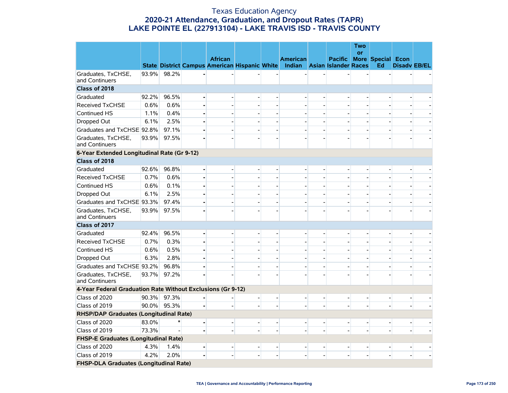## Texas Education Agency **2020-21 Attendance, Graduation, and Dropout Rates (TAPR) LAKE POINTE EL (227913104) - LAKE TRAVIS ISD - TRAVIS COUNTY**

|                                                             |       |             |                |                          |                                                                           |                | <b>Two</b><br><b>or</b> |                          |                     |  |
|-------------------------------------------------------------|-------|-------------|----------------|--------------------------|---------------------------------------------------------------------------|----------------|-------------------------|--------------------------|---------------------|--|
|                                                             |       |             | <b>African</b> |                          | <b>American</b>                                                           | <b>Pacific</b> |                         | <b>More Special Econ</b> |                     |  |
|                                                             |       |             |                |                          | State District Campus American Hispanic White Indian Asian Islander Races |                |                         | Ed                       | <b>Disady EB/EL</b> |  |
| Graduates, TxCHSE,<br>and Continuers                        | 93.9% | 98.2%       |                |                          |                                                                           |                |                         |                          |                     |  |
| Class of 2018                                               |       |             |                |                          |                                                                           |                |                         |                          |                     |  |
| Graduated                                                   | 92.2% | 96.5%       |                |                          |                                                                           |                |                         |                          |                     |  |
| <b>Received TxCHSE</b>                                      | 0.6%  | 0.6%        |                |                          |                                                                           |                |                         |                          |                     |  |
| Continued HS                                                | 1.1%  | 0.4%        |                |                          |                                                                           |                |                         |                          |                     |  |
| Dropped Out                                                 | 6.1%  | 2.5%        |                | $\overline{a}$           |                                                                           |                |                         | $\overline{a}$           |                     |  |
| Graduates and TxCHSE 92.8%                                  |       | 97.1%       |                |                          |                                                                           |                |                         |                          |                     |  |
| Graduates, TxCHSE,<br>and Continuers                        | 93.9% | 97.5%       |                |                          |                                                                           |                |                         |                          |                     |  |
| 6-Year Extended Longitudinal Rate (Gr 9-12)                 |       |             |                |                          |                                                                           |                |                         |                          |                     |  |
| Class of 2018                                               |       |             |                |                          |                                                                           |                |                         |                          |                     |  |
| Graduated                                                   | 92.6% | 96.8%       |                | $\blacksquare$           |                                                                           |                |                         |                          |                     |  |
| Received TxCHSE                                             | 0.7%  | 0.6%        |                |                          |                                                                           |                |                         |                          |                     |  |
| Continued HS                                                | 0.6%  | 0.1%        |                |                          |                                                                           |                |                         |                          |                     |  |
| Dropped Out                                                 | 6.1%  | 2.5%        |                |                          |                                                                           |                |                         |                          |                     |  |
| Graduates and TxCHSE 93.3%                                  |       | 97.4%       |                |                          |                                                                           |                |                         |                          |                     |  |
| Graduates, TxCHSE,<br>and Continuers                        | 93.9% | 97.5%       |                |                          |                                                                           |                |                         |                          |                     |  |
| Class of 2017                                               |       |             |                |                          |                                                                           |                |                         |                          |                     |  |
| Graduated                                                   | 92.4% | 96.5%       |                | $\overline{a}$           |                                                                           |                |                         |                          |                     |  |
| <b>Received TxCHSE</b>                                      | 0.7%  | 0.3%        |                |                          |                                                                           |                |                         |                          |                     |  |
| Continued HS                                                | 0.6%  | 0.5%        |                | $\overline{a}$           |                                                                           |                |                         | $\overline{a}$           |                     |  |
| Dropped Out                                                 | 6.3%  | 2.8%        |                |                          |                                                                           |                |                         |                          |                     |  |
| Graduates and TxCHSE 93.2%                                  |       | 96.8%       |                |                          |                                                                           |                |                         |                          |                     |  |
| Graduates, TxCHSE,<br>and Continuers                        | 93.7% | 97.2%       |                |                          |                                                                           |                |                         |                          |                     |  |
| 4-Year Federal Graduation Rate Without Exclusions (Gr 9-12) |       |             |                |                          |                                                                           |                |                         |                          |                     |  |
| Class of 2020                                               |       | 90.3% 97.3% |                | $\overline{\phantom{a}}$ | $\blacksquare$                                                            |                |                         |                          |                     |  |
| Class of 2019                                               |       | 90.0% 95.3% |                |                          |                                                                           |                |                         |                          |                     |  |
| RHSP/DAP Graduates (Longitudinal Rate)                      |       |             |                |                          |                                                                           |                |                         |                          |                     |  |
| Class of 2020                                               | 83.0% |             |                |                          |                                                                           |                |                         |                          |                     |  |
| Class of 2019                                               | 73.3% |             |                | $\overline{a}$           |                                                                           |                |                         | $\overline{\phantom{0}}$ | $\overline{a}$      |  |
| <b>FHSP-E Graduates (Longitudinal Rate)</b>                 |       |             |                |                          |                                                                           |                |                         |                          |                     |  |
| Class of 2020                                               | 4.3%  | 1.4%        |                |                          |                                                                           |                |                         |                          |                     |  |
| Class of 2019                                               | 4.2%  | 2.0%        |                |                          |                                                                           |                |                         |                          |                     |  |
| <b>FHSP-DLA Graduates (Longitudinal Rate)</b>               |       |             |                |                          |                                                                           |                |                         |                          |                     |  |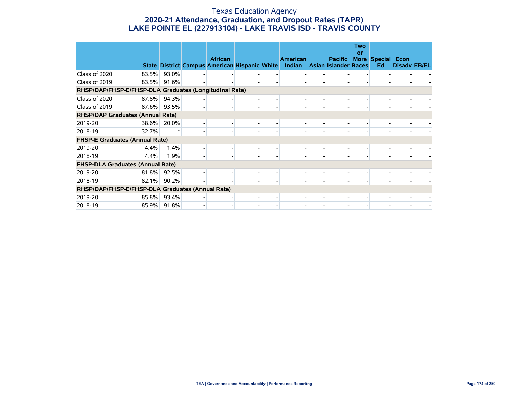## Texas Education Agency **2020-21 Attendance, Graduation, and Dropout Rates (TAPR) LAKE POINTE EL (227913104) - LAKE TRAVIS ISD - TRAVIS COUNTY**

|                                                        |       |             |                                                                        |                          |                                  |                                        | <b>Two</b><br>or |                                       |                     |  |
|--------------------------------------------------------|-------|-------------|------------------------------------------------------------------------|--------------------------|----------------------------------|----------------------------------------|------------------|---------------------------------------|---------------------|--|
|                                                        |       |             | <b>African</b><br><b>State District Campus American Hispanic White</b> |                          | <b>American</b><br><b>Indian</b> | <b>Pacific</b><br>Asian Islander Races |                  | <b>More Special Econ</b><br><b>Ed</b> | <b>Disady EB/EL</b> |  |
| Class of 2020                                          | 83.5% | 93.0%       |                                                                        |                          |                                  |                                        |                  |                                       |                     |  |
| Class of 2019                                          | 83.5% | 91.6%       |                                                                        |                          |                                  |                                        |                  |                                       |                     |  |
| RHSP/DAP/FHSP-E/FHSP-DLA Graduates (Longitudinal Rate) |       |             |                                                                        |                          |                                  |                                        |                  |                                       |                     |  |
| Class of 2020                                          | 87.8% | 94.3%       |                                                                        |                          |                                  |                                        |                  |                                       |                     |  |
| Class of 2019                                          | 87.6% | 93.5%       |                                                                        | -                        |                                  |                                        |                  |                                       |                     |  |
| <b>RHSP/DAP Graduates (Annual Rate)</b>                |       |             |                                                                        |                          |                                  |                                        |                  |                                       |                     |  |
| 2019-20                                                | 38.6% | 20.0%       |                                                                        |                          |                                  |                                        |                  |                                       |                     |  |
| 2018-19                                                | 32.7% |             |                                                                        | $\overline{\phantom{a}}$ |                                  |                                        |                  |                                       |                     |  |
| <b>FHSP-E Graduates (Annual Rate)</b>                  |       |             |                                                                        |                          |                                  |                                        |                  |                                       |                     |  |
| 2019-20                                                | 4.4%  | 1.4%        |                                                                        |                          |                                  |                                        |                  |                                       |                     |  |
| 2018-19                                                | 4.4%  | 1.9%        |                                                                        | -                        |                                  |                                        |                  |                                       |                     |  |
| FHSP-DLA Graduates (Annual Rate)                       |       |             |                                                                        |                          |                                  |                                        |                  |                                       |                     |  |
| 2019-20                                                | 81.8% | 92.5%       |                                                                        |                          |                                  |                                        |                  |                                       |                     |  |
| 2018-19                                                | 82.1% | 90.2%       |                                                                        |                          |                                  |                                        |                  |                                       |                     |  |
| RHSP/DAP/FHSP-E/FHSP-DLA Graduates (Annual Rate)       |       |             |                                                                        |                          |                                  |                                        |                  |                                       |                     |  |
| 2019-20                                                | 85.8% | 93.4%       |                                                                        |                          |                                  |                                        |                  |                                       |                     |  |
| 2018-19                                                |       | 85.9% 91.8% |                                                                        |                          |                                  |                                        |                  |                                       |                     |  |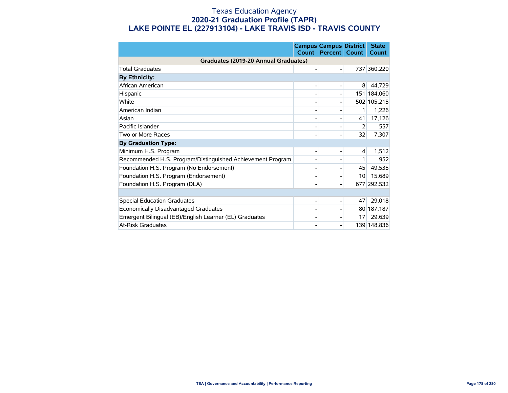## Texas Education Agency **2020-21 Graduation Profile (TAPR) LAKE POINTE EL (227913104) - LAKE TRAVIS ISD - TRAVIS COUNTY**

|                                                            | <b>Count</b> | <b>Campus Campus District</b><br><b>Percent</b> | Count          | <b>State</b><br>Count |
|------------------------------------------------------------|--------------|-------------------------------------------------|----------------|-----------------------|
| Graduates (2019-20 Annual Graduates)                       |              |                                                 |                |                       |
| <b>Total Graduates</b>                                     |              |                                                 |                | 737 360,220           |
| <b>By Ethnicity:</b>                                       |              |                                                 |                |                       |
| African American                                           |              |                                                 | 8              | 44,729                |
| Hispanic                                                   |              |                                                 | 151            | 184,060               |
| White                                                      |              |                                                 |                | 502 105,215           |
| American Indian                                            |              |                                                 | 1              | 1,226                 |
| Asian                                                      |              |                                                 | 41             | 17,126                |
| Pacific Islander                                           |              |                                                 | $\overline{2}$ | 557                   |
| Two or More Races                                          |              |                                                 | 32             | 7,307                 |
| <b>By Graduation Type:</b>                                 |              |                                                 |                |                       |
| Minimum H.S. Program                                       |              |                                                 | 4              | 1,512                 |
| Recommended H.S. Program/Distinguished Achievement Program |              |                                                 | 1              | 952                   |
| Foundation H.S. Program (No Endorsement)                   |              |                                                 | 45             | 49,535                |
| Foundation H.S. Program (Endorsement)                      |              |                                                 | 10             | 15,689                |
| Foundation H.S. Program (DLA)                              |              |                                                 |                | 677 292,532           |
|                                                            |              |                                                 |                |                       |
| <b>Special Education Graduates</b>                         |              |                                                 | 47             | 29,018                |
| Economically Disadvantaged Graduates                       |              |                                                 | 80             | 187,187               |
| Emergent Bilingual (EB)/English Learner (EL) Graduates     |              |                                                 | 17             | 29,639                |
| <b>At-Risk Graduates</b>                                   |              |                                                 |                | 139 148,836           |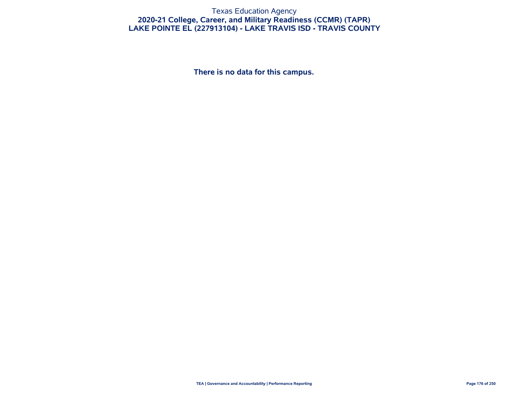## Texas Education Agency **2020-21 College, Career, and Military Readiness (CCMR) (TAPR) LAKE POINTE EL (227913104) - LAKE TRAVIS ISD - TRAVIS COUNTY**

**There is no data for this campus.**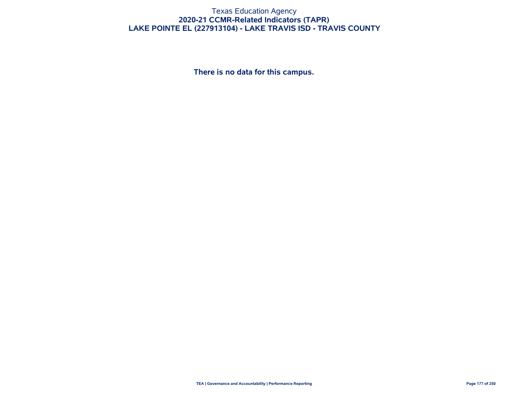#### Texas Education Agency **2020-21 CCMR-Related Indicators (TAPR) LAKE POINTE EL (227913104) - LAKE TRAVIS ISD - TRAVIS COUNTY**

**There is no data for this campus.**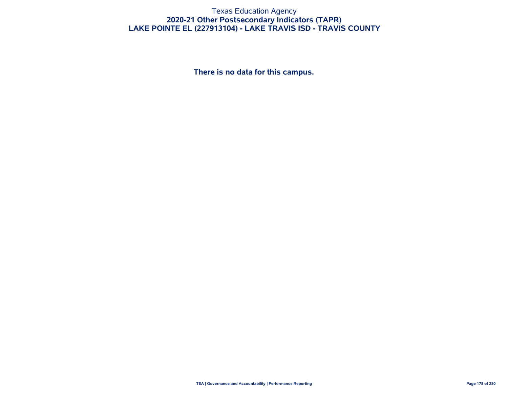#### Texas Education Agency **2020-21 Other Postsecondary Indicators (TAPR) LAKE POINTE EL (227913104) - LAKE TRAVIS ISD - TRAVIS COUNTY**

**There is no data for this campus.**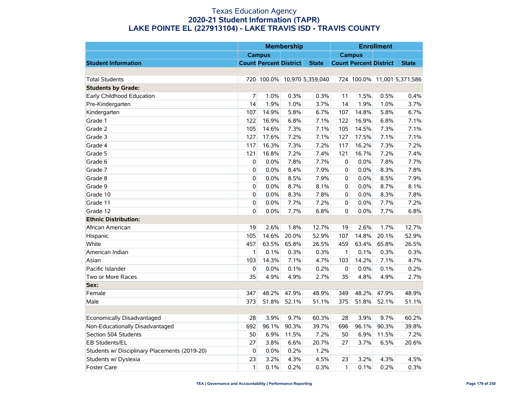|                                               |                |                               | <b>Membership</b> |                             |                |                               | <b>Enrollment</b> |                             |
|-----------------------------------------------|----------------|-------------------------------|-------------------|-----------------------------|----------------|-------------------------------|-------------------|-----------------------------|
|                                               |                | <b>Campus</b>                 |                   |                             |                | <b>Campus</b>                 |                   |                             |
| <b>Student Information</b>                    |                | <b>Count Percent District</b> |                   | <b>State</b>                |                | <b>Count Percent District</b> |                   | <b>State</b>                |
|                                               |                |                               |                   |                             |                |                               |                   |                             |
| <b>Total Students</b>                         |                |                               |                   | 720 100.0% 10,970 5,359,040 |                |                               |                   | 724 100.0% 11,001 5,371,586 |
| <b>Students by Grade:</b>                     |                |                               |                   |                             |                |                               |                   |                             |
| Early Childhood Education                     | $\overline{7}$ | 1.0%                          | 0.3%              | 0.3%                        | 11             | 1.5%                          | 0.5%              | 0.4%                        |
| Pre-Kindergarten                              | 14             | 1.9%                          | 1.0%              | 3.7%                        | 14             | 1.9%                          | 1.0%              | 3.7%                        |
| Kindergarten                                  | 107            | 14.9%                         | 5.8%              | 6.7%                        | 107            | 14.8%                         | 5.8%              | 6.7%                        |
| Grade 1                                       | 122            | 16.9%                         | 6.8%              | 7.1%                        | 122            | 16.9%                         | 6.8%              | 7.1%                        |
| Grade 2                                       | 105            | 14.6%                         | 7.3%              | 7.1%                        | 105            | 14.5%                         | 7.3%              | 7.1%                        |
| Grade 3                                       | 127            | 17.6%                         | 7.2%              | 7.1%                        | 127            | 17.5%                         | 7.1%              | 7.1%                        |
| Grade 4                                       | 117            | 16.3%                         | 7.3%              | 7.2%                        | 117            | 16.2%                         | 7.3%              | 7.2%                        |
| Grade 5                                       | 121            | 16.8%                         | 7.2%              | 7.4%                        | 121            | 16.7%                         | 7.2%              | 7.4%                        |
| Grade 6                                       | 0              | 0.0%                          | 7.8%              | 7.7%                        | $\mathbf 0$    | 0.0%                          | 7.8%              | 7.7%                        |
| Grade 7                                       | 0              | 0.0%                          | 8.4%              | 7.9%                        | $\mathbf 0$    | 0.0%                          | 8.3%              | 7.8%                        |
| Grade 8                                       | $\mathbf 0$    | 0.0%                          | 8.5%              | 7.9%                        | 0              | 0.0%                          | 8.5%              | 7.9%                        |
| Grade 9                                       | 0              | 0.0%                          | 8.7%              | 8.1%                        | $\mathbf 0$    | 0.0%                          | 8.7%              | 8.1%                        |
| Grade 10                                      | 0              | 0.0%                          | 8.3%              | 7.8%                        | $\mathbf 0$    | 0.0%                          | 8.3%              | 7.8%                        |
| Grade 11                                      | 0              | 0.0%                          | 7.7%              | 7.2%                        | $\pmb{0}$      | 0.0%                          | 7.7%              | 7.2%                        |
| Grade 12                                      | 0              | 0.0%                          | 7.7%              | 6.8%                        | $\overline{0}$ | 0.0%                          | 7.7%              | 6.8%                        |
| <b>Ethnic Distribution:</b>                   |                |                               |                   |                             |                |                               |                   |                             |
| African American                              | 19             | 2.6%                          | 1.8%              | 12.7%                       | 19             | 2.6%                          | 1.7%              | 12.7%                       |
| Hispanic                                      | 105            | 14.6%                         | 20.0%             | 52.9%                       | 107            | 14.8%                         | 20.1%             | 52.9%                       |
| White                                         | 457            | 63.5%                         | 65.8%             | 26.5%                       | 459            | 63.4%                         | 65.8%             | 26.5%                       |
| American Indian                               | 1              | 0.1%                          | 0.3%              | 0.3%                        | $\mathbf{1}$   | 0.1%                          | 0.3%              | 0.3%                        |
| Asian                                         | 103            | 14.3%                         | 7.1%              | 4.7%                        | 103            | 14.2%                         | 7.1%              | 4.7%                        |
| Pacific Islander                              | 0              | 0.0%                          | 0.1%              | 0.2%                        | 0              | 0.0%                          | 0.1%              | 0.2%                        |
| Two or More Races                             | 35             | 4.9%                          | 4.9%              | 2.7%                        | 35             | 4.8%                          | 4.9%              | 2.7%                        |
| Sex:                                          |                |                               |                   |                             |                |                               |                   |                             |
| Female                                        | 347            | 48.2%                         | 47.9%             | 48.9%                       | 349            | 48.2%                         | 47.9%             | 48.9%                       |
| Male                                          | 373            | 51.8%                         | 52.1%             | 51.1%                       | 375            | 51.8%                         | 52.1%             | 51.1%                       |
|                                               |                |                               |                   |                             |                |                               |                   |                             |
| Economically Disadvantaged                    | 28             | 3.9%                          | 9.7%              | 60.3%                       | 28             | 3.9%                          | 9.7%              | 60.2%                       |
| Non-Educationally Disadvantaged               | 692            | 96.1%                         | 90.3%             | 39.7%                       | 696            | 96.1%                         | 90.3%             | 39.8%                       |
| Section 504 Students                          | 50             | 6.9%                          | 11.5%             | 7.2%                        | 50             | 6.9%                          | 11.5%             | 7.2%                        |
| EB Students/EL                                | 27             | 3.8%                          | 6.6%              | 20.7%                       | 27             | 3.7%                          | 6.5%              | 20.6%                       |
| Students w/ Disciplinary Placements (2019-20) | $\mathbf 0$    | 0.0%                          | 0.2%              | 1.2%                        |                |                               |                   |                             |
| Students w/ Dyslexia                          | 23             | 3.2%                          | 4.3%              | 4.5%                        | 23             | 3.2%                          | 4.3%              | 4.5%                        |
| <b>Foster Care</b>                            | 1              | 0.1%                          | 0.2%              | 0.3%                        | $\mathbf{1}$   | 0.1%                          | 0.2%              | 0.3%                        |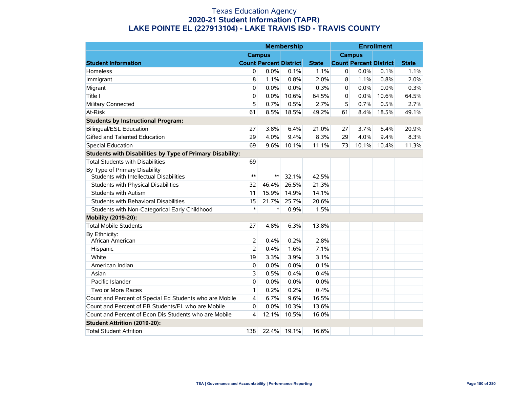|                                                                          | <b>Membership</b> |                               |       | <b>Enrollment</b> |               |       |                               |              |
|--------------------------------------------------------------------------|-------------------|-------------------------------|-------|-------------------|---------------|-------|-------------------------------|--------------|
|                                                                          |                   | <b>Campus</b>                 |       |                   | <b>Campus</b> |       |                               |              |
| <b>Student Information</b>                                               |                   | <b>Count Percent District</b> |       | <b>State</b>      |               |       | <b>Count Percent District</b> | <b>State</b> |
| Homeless                                                                 | 0                 | 0.0%                          | 0.1%  | 1.1%              | $\mathbf 0$   | 0.0%  | 0.1%                          | 1.1%         |
| Immigrant                                                                | 8                 | 1.1%                          | 0.8%  | 2.0%              | 8             | 1.1%  | 0.8%                          | 2.0%         |
| Migrant                                                                  | 0                 | 0.0%                          | 0.0%  | 0.3%              | 0             | 0.0%  | 0.0%                          | 0.3%         |
| Title I                                                                  | 0                 | 0.0%                          | 10.6% | 64.5%             | 0             | 0.0%  | 10.6%                         | 64.5%        |
| Military Connected                                                       | 5                 | 0.7%                          | 0.5%  | 2.7%              | 5             | 0.7%  | 0.5%                          | 2.7%         |
| At-Risk                                                                  | 61                | 8.5%                          | 18.5% | 49.2%             | 61            | 8.4%  | 18.5%                         | 49.1%        |
| <b>Students by Instructional Program:</b>                                |                   |                               |       |                   |               |       |                               |              |
| <b>Bilingual/ESL Education</b>                                           | 27                | 3.8%                          | 6.4%  | 21.0%             | 27            | 3.7%  | 6.4%                          | 20.9%        |
| Gifted and Talented Education                                            | 29                | 4.0%                          | 9.4%  | 8.3%              | 29            | 4.0%  | 9.4%                          | 8.3%         |
| <b>Special Education</b>                                                 | 69                | 9.6%                          | 10.1% | 11.1%             | 73            | 10.1% | 10.4%                         | 11.3%        |
| Students with Disabilities by Type of Primary Disability:                |                   |                               |       |                   |               |       |                               |              |
| <b>Total Students with Disabilities</b>                                  | 69                |                               |       |                   |               |       |                               |              |
| By Type of Primary Disability<br>Students with Intellectual Disabilities | $**$              | $**$                          | 32.1% | 42.5%             |               |       |                               |              |
| Students with Physical Disabilities                                      | 32                | 46.4%                         | 26.5% | 21.3%             |               |       |                               |              |
| <b>Students with Autism</b>                                              | 11                | 15.9%                         | 14.9% | 14.1%             |               |       |                               |              |
| Students with Behavioral Disabilities                                    | 15                | 21.7%                         | 25.7% | 20.6%             |               |       |                               |              |
| Students with Non-Categorical Early Childhood                            | $\ast$            | $\ast$                        | 0.9%  | 1.5%              |               |       |                               |              |
| Mobility (2019-20):                                                      |                   |                               |       |                   |               |       |                               |              |
| <b>Total Mobile Students</b>                                             | 27                | 4.8%                          | 6.3%  | 13.8%             |               |       |                               |              |
| By Ethnicity:<br>African American                                        | 2                 | 0.4%                          | 0.2%  | 2.8%              |               |       |                               |              |
| Hispanic                                                                 | $\overline{2}$    | 0.4%                          | 1.6%  | 7.1%              |               |       |                               |              |
| White                                                                    | 19                | 3.3%                          | 3.9%  | 3.1%              |               |       |                               |              |
| American Indian                                                          | 0                 | 0.0%                          | 0.0%  | 0.1%              |               |       |                               |              |
| Asian                                                                    | 3                 | 0.5%                          | 0.4%  | 0.4%              |               |       |                               |              |
| Pacific Islander                                                         | 0                 | 0.0%                          | 0.0%  | 0.0%              |               |       |                               |              |
| Two or More Races                                                        | 1                 | 0.2%                          | 0.2%  | 0.4%              |               |       |                               |              |
| Count and Percent of Special Ed Students who are Mobile                  | 4                 | 6.7%                          | 9.6%  | 16.5%             |               |       |                               |              |
| Count and Percent of EB Students/EL who are Mobile                       | $\mathbf{0}$      | 0.0%                          | 10.3% | 13.6%             |               |       |                               |              |
| Count and Percent of Econ Dis Students who are Mobile                    | 4                 | 12.1%                         | 10.5% | 16.0%             |               |       |                               |              |
| <b>Student Attrition (2019-20):</b>                                      |                   |                               |       |                   |               |       |                               |              |
| <b>Total Student Attrition</b>                                           | 138               | 22.4%                         | 19.1% | 16.6%             |               |       |                               |              |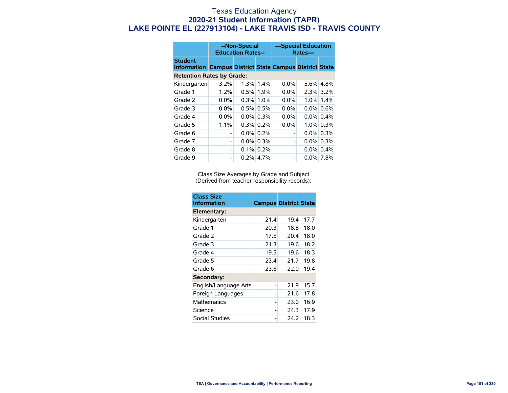|                                                                                  | --Non-Special<br><b>Education Rates--</b> |      |              | ---Special Education<br>Rates--- |         |              |  |
|----------------------------------------------------------------------------------|-------------------------------------------|------|--------------|----------------------------------|---------|--------------|--|
| <b>Student</b><br><b>Information Campus District State Campus District State</b> |                                           |      |              |                                  |         |              |  |
| <b>Retention Rates by Grade:</b>                                                 |                                           |      |              |                                  |         |              |  |
| Kindergarten                                                                     | 3.2%                                      | 1.3% | $1.4\%$      | $0.0\%$                          | $5.6\%$ | 4.8%         |  |
| Grade 1                                                                          | $1.2\%$                                   |      | $0.5\%$ 1.9% | $0.0\%$                          |         | $2.3\%$ 3.2% |  |
| Grade 2                                                                          | $0.0\%$                                   | 0.3% | 1.0%         | $0.0\%$                          |         | 1.0% 1.4%    |  |
| Grade 3                                                                          | $0.0\%$                                   |      | $0.5\%$ 0.5% | $0.0\%$                          |         | $0.0\%$ 0.6% |  |
| Grade 4                                                                          | $0.0\%$                                   |      | $0.0\%$ 0.3% | $0.0\%$                          |         | $0.0\%$ 0.4% |  |
| Grade 5                                                                          | 1.1%                                      |      | $0.3\%$ 0.2% | $0.0\%$                          |         | $1.0\%$ 0.3% |  |
| Grade 6                                                                          |                                           |      | $0.0\%$ 0.2% | $\overline{\phantom{0}}$         |         | $0.0\%$ 0.3% |  |
| Grade 7                                                                          |                                           |      | $0.0\%$ 0.3% | $\overline{\phantom{0}}$         |         | $0.0\%$ 0.3% |  |
| Grade 8                                                                          |                                           |      | $0.1\%$ 0.2% | -                                |         | $0.0\%$ 0.4% |  |
| Grade 9                                                                          |                                           |      | $0.2\%$ 4.7% | -                                |         | $0.0\%$ 7.8% |  |

Class Size Averages by Grade and Subject (Derived from teacher responsibility records):

| <b>Class Size</b><br><b>Information</b> | <b>Campus District State</b> |      |      |
|-----------------------------------------|------------------------------|------|------|
| Elementary:                             |                              |      |      |
| Kindergarten                            | 21.4                         | 19.4 | 17.7 |
| Grade 1                                 | 20.3                         | 18.5 | 18.0 |
| Grade 2                                 | 17.5                         | 20.4 | 18.0 |
| Grade 3                                 | 21.3                         | 19.6 | 18.2 |
| Grade 4                                 | 19.5                         | 19.6 | 18.3 |
| Grade 5                                 | 23.4                         | 21.7 | 19.8 |
| Grade 6                                 | 23.6                         | 22.0 | 19.4 |
| Secondary:                              |                              |      |      |
| English/Language Arts                   |                              | 21.9 | 15.7 |
| Foreign Languages                       |                              | 21.6 | 17.8 |
| <b>Mathematics</b>                      |                              | 23.0 | 16.9 |
| Science                                 |                              | 24.3 | 17.9 |
| Social Studies                          |                              | 24.2 | 18.3 |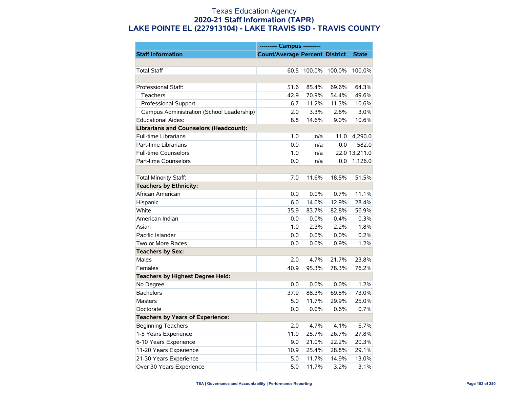|                                               | --------- Campus ---------            |        |        |               |
|-----------------------------------------------|---------------------------------------|--------|--------|---------------|
| <b>Staff Information</b>                      | <b>Count/Average Percent District</b> |        |        | <b>State</b>  |
|                                               |                                       |        |        |               |
| <b>Total Staff</b>                            | 60.5                                  | 100.0% | 100.0% | 100.0%        |
|                                               |                                       |        |        |               |
| Professional Staff:                           | 51.6                                  | 85.4%  | 69.6%  | 64.3%         |
| Teachers                                      | 42.9                                  | 70.9%  | 54.4%  | 49.6%         |
| Professional Support                          | 6.7                                   | 11.2%  | 11.3%  | 10.6%         |
| Campus Administration (School Leadership)     | 2.0                                   | 3.3%   | 2.6%   | 3.0%          |
| <b>Educational Aides:</b>                     | 8.8                                   | 14.6%  | 9.0%   | 10.6%         |
| <b>Librarians and Counselors (Headcount):</b> |                                       |        |        |               |
| <b>Full-time Librarians</b>                   | 1.0                                   | n/a    | 11.0   | 4,290.0       |
| Part-time Librarians                          | 0.0                                   | n/a    | 0.0    | 582.0         |
| <b>Full-time Counselors</b>                   | 1.0                                   | n/a    |        | 22.0 13,211.0 |
| Part-time Counselors                          | 0.0                                   | n/a    | 0.0    | 1,126.0       |
|                                               |                                       |        |        |               |
| <b>Total Minority Staff:</b>                  | 7.0                                   | 11.6%  | 18.5%  | 51.5%         |
| <b>Teachers by Ethnicity:</b>                 |                                       |        |        |               |
| African American                              | 0.0                                   | 0.0%   | 0.7%   | 11.1%         |
| Hispanic                                      | 6.0                                   | 14.0%  | 12.9%  | 28.4%         |
| White                                         | 35.9                                  | 83.7%  | 82.8%  | 56.9%         |
| American Indian                               | 0.0                                   | 0.0%   | 0.4%   | 0.3%          |
| Asian                                         | 1.0                                   | 2.3%   | 2.2%   | 1.8%          |
| Pacific Islander                              | 0.0                                   | 0.0%   | 0.0%   | 0.2%          |
| Two or More Races                             | 0.0                                   | 0.0%   | 0.9%   | 1.2%          |
| <b>Teachers by Sex:</b>                       |                                       |        |        |               |
| Males                                         | 2.0                                   | 4.7%   | 21.7%  | 23.8%         |
| Females                                       | 40.9                                  | 95.3%  | 78.3%  | 76.2%         |
| <b>Teachers by Highest Degree Held:</b>       |                                       |        |        |               |
| No Degree                                     | 0.0                                   | 0.0%   | 0.0%   | 1.2%          |
| <b>Bachelors</b>                              | 37.9                                  | 88.3%  | 69.5%  | 73.0%         |
| <b>Masters</b>                                | 5.0                                   | 11.7%  | 29.9%  | 25.0%         |
| Doctorate                                     | 0.0                                   | 0.0%   | 0.6%   | 0.7%          |
| <b>Teachers by Years of Experience:</b>       |                                       |        |        |               |
| <b>Beginning Teachers</b>                     | 2.0                                   | 4.7%   | 4.1%   | 6.7%          |
| 1-5 Years Experience                          | 11.0                                  | 25.7%  | 26.7%  | 27.8%         |
| 6-10 Years Experience                         | 9.0                                   | 21.0%  | 22.2%  | 20.3%         |
| 11-20 Years Experience                        | 10.9                                  | 25.4%  | 28.8%  | 29.1%         |
| 21-30 Years Experience                        | 5.0                                   | 11.7%  | 14.9%  | 13.0%         |
| Over 30 Years Experience                      | 5.0                                   | 11.7%  | 3.2%   | 3.1%          |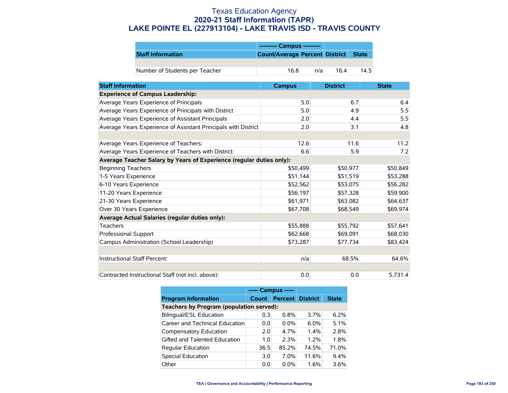|                                | --------- Campus ---------           |     |      |      |
|--------------------------------|--------------------------------------|-----|------|------|
| <b>Staff Information</b>       | Count/Average Percent District State |     |      |      |
|                                |                                      |     |      |      |
| Number of Students per Teacher | 16.8                                 | n/a | 16.4 | 14.5 |

| <b>Staff Information</b>                                             | <b>Campus</b> | <b>District</b> | <b>State</b> |
|----------------------------------------------------------------------|---------------|-----------------|--------------|
| <b>Experience of Campus Leadership:</b>                              |               |                 |              |
| Average Years Experience of Principals                               | 5.0           | 6.7             | 6.4          |
| Average Years Experience of Principals with District                 | 5.0           | 4.9             | 5.5          |
| Average Years Experience of Assistant Principals                     | 2.0           | 4.4             | 5.5          |
| Average Years Experience of Assistant Principals with District       | 2.0           | 3.1             | 4.8          |
|                                                                      |               |                 |              |
| Average Years Experience of Teachers:                                | 12.6          | 11.6            | 11.2         |
| Average Years Experience of Teachers with District:                  | 6.6           | 5.9             | 7.2          |
| Average Teacher Salary by Years of Experience (regular duties only): |               |                 |              |
| <b>Beginning Teachers</b>                                            | \$50,499      | \$50,977        | \$50,849     |
| 1-5 Years Experience                                                 | \$51,144      | \$51,519        | \$53,288     |
| 6-10 Years Experience                                                | \$52,562      | \$53,075        | \$56,282     |
| 11-20 Years Experience                                               | \$56,197      | \$57,328        | \$59,900     |
| 21-30 Years Experience                                               | \$61,971      | \$63,082        | \$64,637     |
| Over 30 Years Experience                                             | \$67,708      | \$68,549        | \$69,974     |
| Average Actual Salaries (regular duties only):                       |               |                 |              |
| <b>Teachers</b>                                                      | \$55,888      | \$55,792        | \$57,641     |
| Professional Support                                                 | \$62,668      | \$69,091        | \$68,030     |
| Campus Administration (School Leadership)                            | \$73,287      | \$77,734        | \$83,424     |
|                                                                      |               |                 |              |
| Instructional Staff Percent:                                         | n/a           | 68.5%           | 64.6%        |
|                                                                      |               |                 |              |
| Contracted Instructional Staff (not incl. above):                    | 0.0           | 0.0             | 5,731.4      |

|                                          | ----- Campus ----- |                         |         |              |  |  |  |
|------------------------------------------|--------------------|-------------------------|---------|--------------|--|--|--|
| <b>Program Information</b>               | Count              | <b>Percent District</b> |         | <b>State</b> |  |  |  |
| Teachers by Program (population served): |                    |                         |         |              |  |  |  |
| <b>Bilingual/ESL Education</b>           | 0.3                | 0.8%                    | $3.7\%$ | 6.2%         |  |  |  |
| Career and Technical Education           | 0.0                | $0.0\%$                 | 6.0%    | 5.1%         |  |  |  |
| Compensatory Education                   | 2.0                | 4.7%                    | 1.4%    | 2.8%         |  |  |  |
| Gifted and Talented Education            | 1.0                | 2.3%                    | 1.2%    | 1.8%         |  |  |  |
| <b>Regular Education</b>                 | 36.5               | 85.2%                   | 74.5%   | 71.0%        |  |  |  |
| <b>Special Education</b>                 | 3.0                | 7.0%                    | 11.6%   | 9.4%         |  |  |  |
| Other                                    | 0.0                | $0.0\%$                 | 1.6%    | 3.6%         |  |  |  |